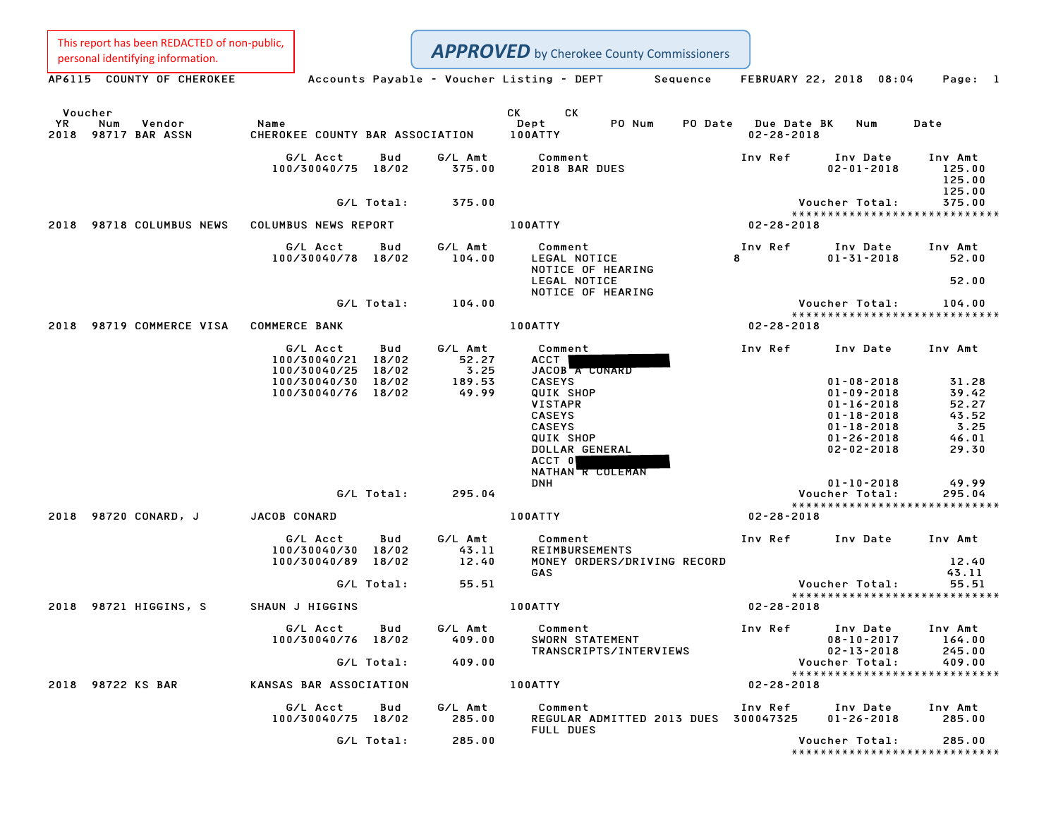This report has been REDACTED of non-public,

**APPROVED** by Cherokee County Commissioners

Personal identifying information.<br>AP6115 COUNTY OF CHEROKEE Accounts Payable - Voucher Listing - DEPT Sequence FEBRUARY 22, 2018 08:04 Page: 1 Voucher CK CK YR Num Vendor Name Dept PO Num PO Date Due Date BK Num Date Voucher<br>2018 Num Vendor – Name Name – CK CK PO-Num PO-Date Due-Date<br>2018 98717 BAR ASSN – CHEROKEE COUNTY BAR ASSOCIATION 100ATTY – PO-Num – 02-28-2018 G/L Acct Bud G/L Amt Comment Inv Ref Inv Date Inv Amt 100/30040/75 18/02 375.00 <sup>2018</sup> BAR DUES 02-01-2018 125.00 Inv Amt<br>125.00 125.00<br>125.00 125.00<br>125.00<br>Voucher Total: 375.00 Voucher Total: 375.00 Voucher Total: 375.00<br>\*\*\*\*\*\*\*\*\*\*\*\*\*\*\*\*\*\*\*\*\*\*\*\*\*\*\*\* 2018 Vou<br>\*\*\*\* Vou<br>2018 98718 COLUMBUS NEWS COLUMBUS NEWS REPORT 100ATTY 100ATTY 02-28-2018 G/L Acct Bud G/L Amt Comment Inv Ref Inv Date Inv Amt 100/30040/78 18/02 104.00 LEGAL NOTICE <sup>8</sup> 01-31-2018 52.00 Comment<br>LEGAL NOTICE<br>NOTICE OF HEARING LEGAL NOTICE 52.00 LEGAL NOTICE<br>NOTICE OF HEARING G/L Total: 104.00 Voucher Total: 104.00 Voucher Total: 104.00<br>\*\*\*\*\*\*\*\*\*\*\*\*\*\*\*\*\*\*\*\*\*\*\*\*\*\*\*\* <sup>2018</sup> <sup>98719</sup> COMMERCE VISA COMMERCE BANK 100ATTY 02-28-2018 G/L Acct Bud G/L Amt Comment Inv Ref Inv Date Inv Amt اس<br>100/30040/21 18/02 52.27 ACCT<br>100/30040/21 18/02 52.27 ACCT 100/30040/25 18/02 3.25 JACOB <sup>A</sup> CONARD 100/30040/21 18/02 52.27 ACCT<br>100/30040/25 18/02 3.25 JACOB A CONARD<br>100/30040/30 18/02 189.53 CASEYS 01-08-2018 31.28 100/30040/76 18/02 49.99 QUIK SHOP 01-09-2018 39.42 VISTAPR 01-16-2018 52.27 CASEYS 01-18-2018 43.52 CASEYS 01-18-2018 3.25 QUIK SHOP 01-26-2018 46.01 DOLLAR GENERAL 02-02-2018 29.30 QUIK SHOP<br>DOLLAR GENERAL<br>ACCT 0 NATHAN R COLEMAN ACCT 0<br>NATHAN R COLEMAN<br>DNH 01-10-2018 49.99 G/L Total: 295.04 Voucher Total: 295.04 01-10-2018 49.99<br>Voucher Total: 295.04<br>\*\*\*\*\*\*\*\*\*\*\*\*\*\*\*\*\*\*\*\*\*\*\*\*\*\*\*\*\*\* <sup>2018</sup> <sup>98720</sup> CONARD, <sup>J</sup> JACOB CONARD 100ATTY 02-28-2018 G/L Acct Bud G/L Amt Comment Inv Ref Inv Date Inv Amt 100/30040/30 18/02 43.11 REIMBURSEMENTS G/L Acct Bud G/L Amt Comment Inv Ref Inv Date Inv Amt<br>100/30040/30 18/02 43.11 REIMBURSEMENTS<br>100/30040/89 18/02 12.40 MONEY ORDERS/DRIVING RE GAS 43.11 G/L Total: 55.51 Voucher Total: 55.51 Voucher Total: 55.51<br>\*\*\*\*\*\*\*\*\*\*\*\*\*\*\*\*\*\*\*\*\*\*\*\*\*\*\*\*\* <sup>2018</sup> <sup>98721</sup> HIGGINS, <sup>S</sup> SHAUN <sup>J</sup> HIGGINS 100ATTY 02-28-2018 G/L Acct Bud G/L Amt Comment Inv Ref Inv Date Inv Amt 100/30040/76 18/02 409.00 SWORN STATEMENT 08-10-2017 164.00 TRANSCRIPTS/INTERVIEWS 02-13-2018 245.00 G/L Total: 409.00 Voucher Total: 409.00 Voucher Total: 409.00<br>\*\*\*\*\*\*\*\*\*\*\*\*\*\*\*\*\*\*\*\*\*\*\*\*\*\*\*\*\* <sup>2018</sup> <sup>98722</sup> KS BAR KANSAS BAR ASSOCIATION 100ATTY 02-28-2018 G/L Acct Bud G/L Amt Comment Inv Ref Inv Date Inv Amt 100/30040/75 18/02 285.00 REGULAR ADMITTED <sup>2013</sup> DUES <sup>300047325</sup> 01-26-2018 285.00 Comment<br>REGULAR A<br>FULL DUES G/L Total: 285.00 Voucher Total: 285.00 Voucher Total: 285.00<br>\*\*\*\*\*\*\*\*\*\*\*\*\*\*\*\*\*\*\*\*\*\*\*\*\*\*\*\*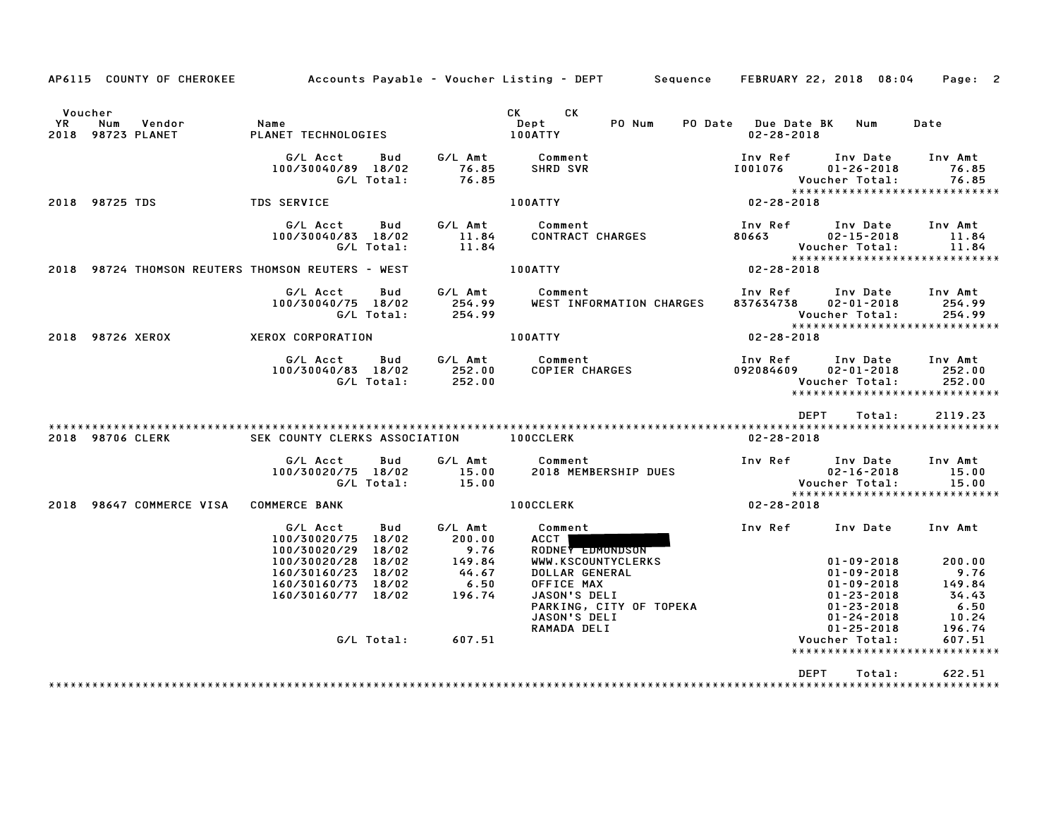|           |                                               |                                                                                                                |                                                               | AP6115 COUNTY OF CHEROKEE Accounts Payable – Voucher Listing – DEPT Sequence FEBRUARY 22, 2018 08:04                                                                                    |                                                                                                                                                                                                                                                      | Page: 2                           |
|-----------|-----------------------------------------------|----------------------------------------------------------------------------------------------------------------|---------------------------------------------------------------|-----------------------------------------------------------------------------------------------------------------------------------------------------------------------------------------|------------------------------------------------------------------------------------------------------------------------------------------------------------------------------------------------------------------------------------------------------|-----------------------------------|
| <b>YR</b> | Voucher<br>Num<br>Vendor<br>2018 98723 PLANET | <b>Name</b><br>PLANET TECHNOLOGIES                                                                             |                                                               | CK CK<br>PO Num<br>Dept<br>100ATTY                                                                                                                                                      | PO Date Due Date BK Num<br>$02 - 28 - 2018$                                                                                                                                                                                                          | Date                              |
|           |                                               | 100/30040/89 18/02                                                                                             |                                                               | G/L Acct Bud G/L Amt Comment<br>$0040/89$ $18/02$ $76.85$ SHRD SVR<br>G/L Total: 76.85                                                                                                  | Inv Ref      Inv Date     Inv Amt<br>I001076        01–26–2018         76.85                                                                                                                                                                         |                                   |
|           |                                               | 2018 98725 TDS TDS SERVICE                                                                                     |                                                               | 100ATTY                                                                                                                                                                                 |                                                                                                                                                                                                                                                      |                                   |
|           |                                               |                                                                                                                |                                                               | G/LAcct Bud G/LAmt Comment<br>100/30040/83 18/02 11.84 CONTRACT CHARGES 80663 02-15-2018 11.84<br>G/LTotal: 11.84 CONTRACT CHARGES 80663 02-15-2018 11.84<br>2019 02-28-2018 02-28-2018 |                                                                                                                                                                                                                                                      |                                   |
|           |                                               | 2018 98724 THOMSON REUTERS THOMSON REUTERS - WEST   100ATTY                                                    |                                                               |                                                                                                                                                                                         |                                                                                                                                                                                                                                                      |                                   |
|           |                                               | G/L Acct    Bud    G/L Amt    Comment<br>100/30040/75 18/02                                                    |                                                               | WEST INFORMATION CHARGES                                                                                                                                                                | Inv Ref Inv Date Inv Amt<br>837634738  02-01-2018  254.99<br>Voucher Total: 254.99<br>****************************                                                                                                                                   |                                   |
|           | 2018 98726 XEROX                              | XEROX CORPORATION THE RESERVE OF THE RESERVE OF THE RESERVE OF THE RESERVE OF THE RESERVE OF THE RESERVE OF TH |                                                               |                                                                                                                                                                                         | $02 - 28 - 2018$                                                                                                                                                                                                                                     |                                   |
|           |                                               |                                                                                                                |                                                               | G/L Acct  Bud  G/L Amt  Comment<br>100/30040/83 18/02  252.00  COPIER CHARGES<br>G/L Total:  252.00                                                                                     | Inv Ref Inv Date Inv Amt<br>092084609<br>Voucher Total:<br>*****************************                                                                                                                                                             | $02 - 01 - 2018$ 252.00<br>252.00 |
|           |                                               |                                                                                                                |                                                               |                                                                                                                                                                                         | DEPT Total:                                                                                                                                                                                                                                          | 2119.23                           |
|           | 2018 98706 CLERK                              | SEK COUNTY CLERKS ASSOCIATION 100CCLERK                                                                        |                                                               |                                                                                                                                                                                         | 02-28-2018                                                                                                                                                                                                                                           |                                   |
|           |                                               | G/L Acct<br>Bud<br>100/30020/75 18/02<br>G/L Total: 15.00                                                      |                                                               |                                                                                                                                                                                         | Comment 1nv Ref 1nv Date 1nv Amt 102-16-2018<br>2018 MEMBERSHIP DUES 15.00<br>2018 MEMBERSHIP DUES Voucher Total: 15.00<br>2018 MEMBERSHIP DUES 15.00<br>2018 MEMBERSHIP DUES                                                                        |                                   |
|           | 2018 98647 COMMERCE VISA COMMERCE BANK        |                                                                                                                |                                                               | <b>100CCLERK</b>                                                                                                                                                                        | $02 - 28 - 2018$                                                                                                                                                                                                                                     |                                   |
|           |                                               | G/L Acct Bud<br>100/30020/75 18/02<br>100/30020/29 18/02                                                       | 200.00                                                        | G/L Amt Comment<br><b>ACCT</b><br>RODNEY EDMONDSON                                                                                                                                      | Inv Ref Inv Date Inv Amt                                                                                                                                                                                                                             |                                   |
|           |                                               | 100/30020/28 18/02<br>160/30160/23 18/02<br>160/30160/73 18/02<br>160/30160/77 18/02                           | $9.76$<br>$9.76$<br>$149.84$<br>$44.67$<br>$6.50$<br>$196.74$ |                                                                                                                                                                                         | WWW.KSCOUNTYCLERKS<br>WWW.KSCOUNTYCLERKS<br>DOLLAR GENERAL<br>OFFICE MAX<br>JASON'S DELI<br>PARKING, CITY OF TOPEKA<br>JASON'S DELI<br>PARKING, CITY OF TOPEKA<br>JASON'S DELI<br>PARKING, CITY OF TOPEKA<br>JASON'S DELI<br>PARKING, CITY OF TOPEKA |                                   |
|           |                                               |                                                                                                                |                                                               |                                                                                                                                                                                         |                                                                                                                                                                                                                                                      |                                   |
|           |                                               |                                                                                                                | G/L Total: 607.51                                             |                                                                                                                                                                                         | Voucher Total:<br>******************************                                                                                                                                                                                                     | 607.51                            |
|           |                                               |                                                                                                                |                                                               |                                                                                                                                                                                         | DEPT<br>Total:                                                                                                                                                                                                                                       | 622.51                            |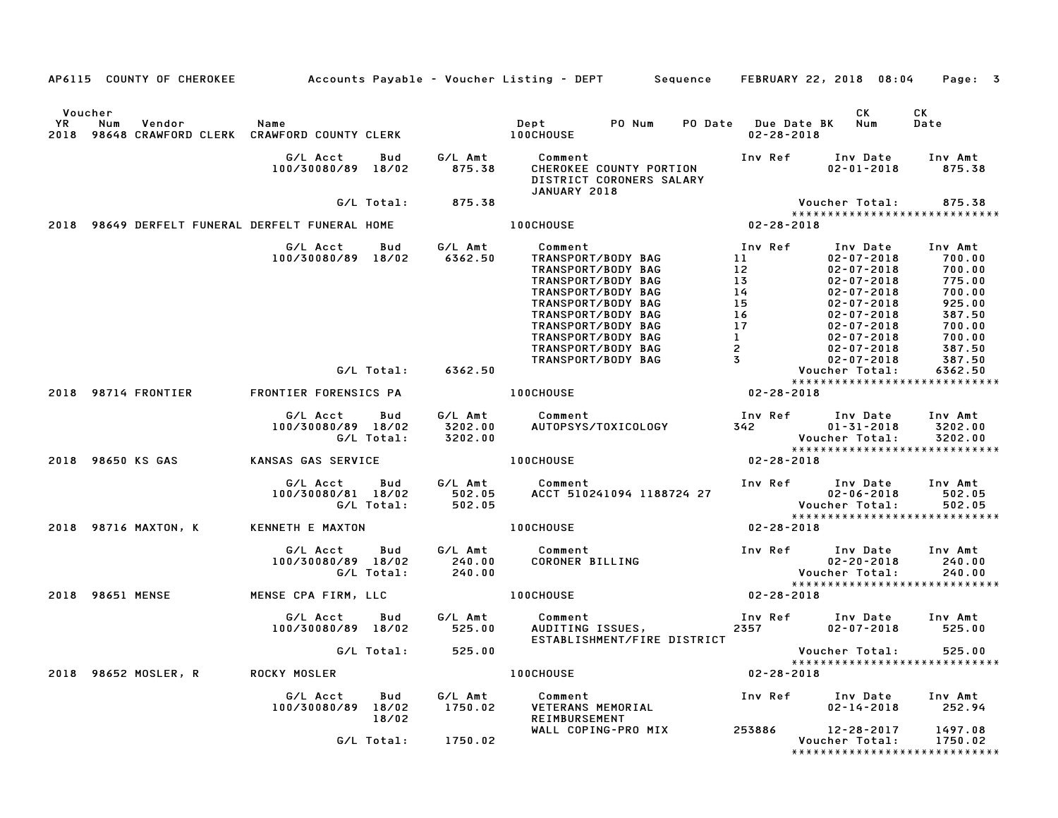|               | AP6115 COUNTY OF CHEROKEE                                                                |                                |                   |                               | Accounts Payable – Voucher Listing – DEPT       Sequence   FEBRUARY 22, 2018 08:04                                                                                                                                                  |                                                                                                                                                                                        |                                                                                                                                                                                                                  | Page: 3                                                                                                     |
|---------------|------------------------------------------------------------------------------------------|--------------------------------|-------------------|-------------------------------|-------------------------------------------------------------------------------------------------------------------------------------------------------------------------------------------------------------------------------------|----------------------------------------------------------------------------------------------------------------------------------------------------------------------------------------|------------------------------------------------------------------------------------------------------------------------------------------------------------------------------------------------------------------|-------------------------------------------------------------------------------------------------------------|
|               |                                                                                          |                                |                   |                               |                                                                                                                                                                                                                                     |                                                                                                                                                                                        |                                                                                                                                                                                                                  |                                                                                                             |
| Voucher<br>YR | Num<br>Vendor<br>2018 98648 CRAWFORD CLERK CRAWFORD COUNTY CLERK <b>THE COUNTY CLERE</b> | Name                           |                   |                               | <b>Dept</b><br>PO Num                                                                                                                                                                                                               | PO Date Due Date BK<br>$02 - 28 - 2018$                                                                                                                                                | CK<br>Num                                                                                                                                                                                                        | CK<br>Date                                                                                                  |
|               |                                                                                          | G/L Acct<br>100/30080/89 18/02 | Bud               | G/L Amt<br>875.38             | Comment<br>CHEROKEE COUNTY PORTION<br>DISTRICT CORONERS SALARY<br>JANUARY 2018                                                                                                                                                      | Inv Ref                                                                                                                                                                                | Inv Date<br>$02 - 01 - 2018$                                                                                                                                                                                     | Inv Amt<br>875.38                                                                                           |
|               |                                                                                          |                                | G/L Total:        | 875.38                        |                                                                                                                                                                                                                                     |                                                                                                                                                                                        | Voucher Total:                                                                                                                                                                                                   | 875.38                                                                                                      |
|               |                                                                                          |                                |                   |                               |                                                                                                                                                                                                                                     |                                                                                                                                                                                        | *****************************                                                                                                                                                                                    |                                                                                                             |
|               | 2018 98649 DERFELT FUNERAL DERFELT FUNERAL HOME                                          |                                |                   |                               | <b>100CHOUSE</b>                                                                                                                                                                                                                    | $02 - 28 - 2018$                                                                                                                                                                       |                                                                                                                                                                                                                  |                                                                                                             |
|               |                                                                                          | G/L Acct<br>100/30080/89 18/02 | Bud               | G/L Amt<br>6362.50            | Comment<br>TRANSPORT/BODY BAG<br>TRANSPORT/BODY BAG<br>TRANSPORT/BODY BAG<br>TRANSPORT/BODY BAG<br>TRANSPORT/BODY BAG<br>TRANSPORT/BODY BAG<br>TRANSPORT/BODY BAG<br>TRANSPORT/BODY BAG<br>TRANSPORT/BODY BAG<br>TRANSPORT/BODY BAG | Inv Ref<br>11<br>$\begin{array}{c} 12 \\ 13 \end{array}$<br>$\begin{array}{c}\n14 \\ 15\n\end{array}$<br>$\begin{array}{c} 16 \\ 17 \\ 1 \end{array}$<br>$\overline{2}$<br>$3^{\circ}$ | Inv Date<br>$02 - 07 - 2018$<br>$02 - 07 - 2018$<br>$02 - 07 - 2018$<br>$02 - 07 - 2018$<br>$02 - 07 - 2018$<br>$02 - 07 - 2018$<br>$02 - 07 - 2018$<br>$02 - 07 - 2018$<br>$02 - 07 - 2018$<br>$02 - 07 - 2018$ | Inv Amt<br>700.00<br>700.00<br>775.00<br>700.00<br>925.00<br>387.50<br>700.00<br>700.00<br>387.50<br>387.50 |
|               |                                                                                          |                                | G/L Total:        | 6362.50                       |                                                                                                                                                                                                                                     |                                                                                                                                                                                        | Voucher Total:                                                                                                                                                                                                   | 6362.50                                                                                                     |
|               |                                                                                          |                                |                   |                               |                                                                                                                                                                                                                                     |                                                                                                                                                                                        | *****************************                                                                                                                                                                                    |                                                                                                             |
|               | 2018 98714 FRONTIER                                                                      | FRONTIER FORENSICS PA          |                   |                               | <b>100CHOUSE</b>                                                                                                                                                                                                                    | $02 - 28 - 2018$                                                                                                                                                                       |                                                                                                                                                                                                                  |                                                                                                             |
|               |                                                                                          | G/L Acct<br>100/30080/89 18/02 | Bud<br>G/L Total: | G/L Amt<br>3202.00<br>3202.00 | Comment<br>AUTOPSYS/TOXICOLOGY                                                                                                                                                                                                      | Inv Ref                                                                                                                                                                                | Inv Date<br>$01 - 31 - 2018$<br>Voucher Total:<br>*****************************                                                                                                                                  | Inv Amt<br>3202.00<br>3202.00                                                                               |
|               | 2018 98650 KS GAS                                                                        | KANSAS GAS SERVICE             |                   |                               | <b>100CHOUSE</b>                                                                                                                                                                                                                    | $02 - 28 - 2018$                                                                                                                                                                       |                                                                                                                                                                                                                  |                                                                                                             |
|               |                                                                                          | G/L Acct<br>100/30080/81 18/02 | Bud<br>G/L Total: | G/L Amt<br>502.05<br>502.05   | Comment<br>ACCT 510241094 1188724 27                                                                                                                                                                                                |                                                                                                                                                                                        | Inv Ref Inv Date<br>$02 - 06 - 2018$<br><b>Voucher Total:</b><br>*****************************                                                                                                                   | Inv Amt<br>502.05<br>502.05                                                                                 |
|               | 2018 98716 MAXTON, K                                                                     | KENNETH E MAXTON               |                   |                               | <b>100CHOUSE</b>                                                                                                                                                                                                                    | 02-28-2018                                                                                                                                                                             |                                                                                                                                                                                                                  |                                                                                                             |
|               |                                                                                          | G/L Acct<br>100/30080/89 18/02 | Bud<br>G/L Total: | G/L Amt<br>240.00<br>240.00   | Comment<br>CORONER BILLING                                                                                                                                                                                                          | Inv Ref                                                                                                                                                                                | Inv Date<br>$02 - 20 - 2018$<br>Voucher Total:                                                                                                                                                                   | Inv Amt<br>240.00<br>240.00                                                                                 |
|               | 2018 98651 MENSE                                                                         | MENSE CPA FIRM, LLC            |                   |                               | <b>100CHOUSE</b>                                                                                                                                                                                                                    | $02 - 28 - 2018$                                                                                                                                                                       | *****************************                                                                                                                                                                                    |                                                                                                             |
|               |                                                                                          | G/L Acct<br>100/30080/89 18/02 | Bud               | G/L Amt<br>525.00             | Comment<br>AUDITING ISSUES,<br>ESTABLISHMENT/FIRE DISTRICT                                                                                                                                                                          | 2357                                                                                                                                                                                   | Inv Ref Inv Date<br>$02 - 07 - 2018$                                                                                                                                                                             | Inv Amt<br>525.00                                                                                           |
|               |                                                                                          |                                | G/L Total:        | 525.00                        |                                                                                                                                                                                                                                     |                                                                                                                                                                                        | Voucher Total:                                                                                                                                                                                                   | 525.00                                                                                                      |
|               | 2018 98652 MOSLER, R                                                                     | ROCKY MOSLER                   |                   |                               | <b>100CHOUSE</b>                                                                                                                                                                                                                    | $02 - 28 - 2018$                                                                                                                                                                       | *****************************                                                                                                                                                                                    |                                                                                                             |
|               |                                                                                          | G/L Acct<br>100/30080/89 18/02 | Bud<br>18/02      | G/L Amt<br>1750.02            | Comment<br>VETERANS MEMORIAL<br>REIMBURSEMENT                                                                                                                                                                                       | Inv Ref                                                                                                                                                                                | Inv Date<br>$02 - 14 - 2018$                                                                                                                                                                                     | Inv Amt<br>252.94                                                                                           |
|               |                                                                                          |                                | G/L Total:        | 1750.02                       | WALL COPING-PRO MIX                                                                                                                                                                                                                 | 253886                                                                                                                                                                                 | 12-28-2017<br>Voucher Total:<br>*****************************                                                                                                                                                    | 1497.08<br>1750.02                                                                                          |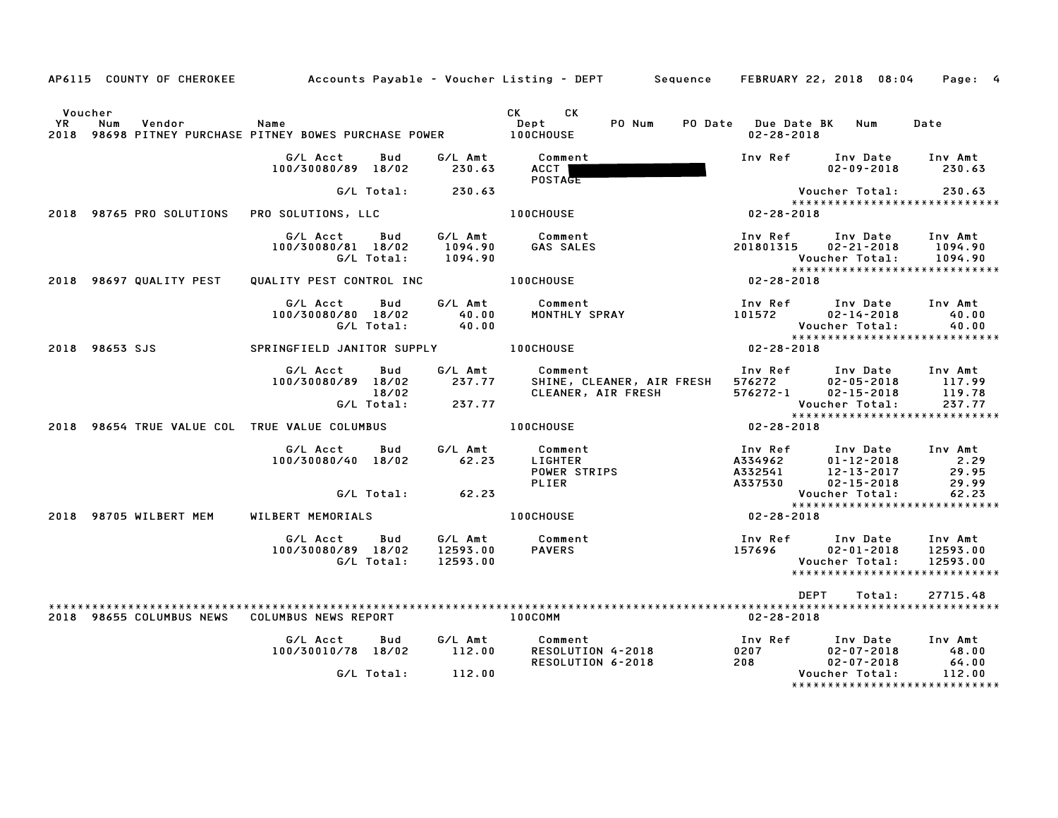|    |                          |                                                                          |                            |                               | AP6115 COUNTY OF CHEROKEE Accounts Payable - Voucher Listing - DEPT Sequence FEBRUARY 22, 2018 08:04 Page: 4 |                  |                                                                           |                                                                                    |                                                            |
|----|--------------------------|--------------------------------------------------------------------------|----------------------------|-------------------------------|--------------------------------------------------------------------------------------------------------------|------------------|---------------------------------------------------------------------------|------------------------------------------------------------------------------------|------------------------------------------------------------|
| YR | Voucher<br>Num<br>Vendor | Name<br>2018 98698 PITNEY PURCHASE PITNEY BOWES PURCHASE POWER 100CHOUSE |                            |                               | CK CK<br>PO Num<br>Dept                                                                                      |                  | PO Date Due Date BK Num<br>$02 - 28 - 2018$                               |                                                                                    | Date                                                       |
|    |                          | G/L Acct<br>100/30080/89 18/02                                           | Bud                        | G/L Amt<br>230.63             | Comment<br>ACCT I<br><b>POSTAGE</b>                                                                          |                  |                                                                           | Inv Ref Inv Date Inv Amt<br>02-09-2018 230.63                                      |                                                            |
|    |                          |                                                                          | G/L Total:                 | 230.63                        |                                                                                                              |                  |                                                                           |                                                                                    |                                                            |
|    | 2018 98765 PRO SOLUTIONS | PRO SOLUTIONS, LLC                                                       |                            |                               | <b>100CHOUSE</b>                                                                                             | $02 - 28 - 2018$ |                                                                           |                                                                                    | *****************************                              |
|    |                          | G/L Acct<br>100/30080/81 18/02                                           | <b>Bud</b><br>G/L Total:   | 1094.90                       | G/L Amt Comment<br>1094.90 GAS SALES                                                                         |                  | 201801315                                                                 | Inv Ref Inv Date Inv Amt<br>02-21-2018 1094.90<br>Voucher Total: 1094.90           |                                                            |
|    | 2018 98697 QUALITY PEST  | QUALITY PEST CONTROL INC                                                 |                            |                               | <b>100CHOUSE</b>                                                                                             |                  | $02 - 28 - 2018$                                                          |                                                                                    |                                                            |
|    |                          | G/L Acct<br>100/30080/80 18/02                                           | Bud<br>G/L Total:          | 40.00<br>40.00                | G/L Amt Comment<br>MONTHLY SPRAY                                                                             |                  | 101572                                                                    | Inv Ref Inv Date<br>$02 - 14 - 2018$<br>Voucher Total:                             | Inv Amt<br>40.00<br>40.00<br>***************************** |
|    | 2018 98653 SJS           | SPRINGFIELD JANITOR SUPPLY 100CHOUSE                                     |                            |                               |                                                                                                              |                  | $02 - 28 - 2018$                                                          |                                                                                    |                                                            |
|    |                          | G/L Acct<br>100/30080/89 18/02                                           | Bud<br>18/02<br>G/L Total: | G/L Amt<br>237.77<br>237.77   | Comment<br>SHINE, CLEANER, AIR FRESH<br>CLEANER, AIR FRESH                                                   |                  | 576272-1 02-15-2018<br>Voucher Total:<br>****************                 | Inv Ref Inv Date<br>576272 02-05-2018                                              | Inv Amt<br>117.99<br>119.78<br>237.77                      |
|    |                          | 2018 98654 TRUE VALUE COL TRUE VALUE COLUMBUS                            |                            |                               | <b>100CHOUSE</b>                                                                                             |                  | 02-28-2018                                                                |                                                                                    | ******************************                             |
|    |                          | G/L Acct<br>100/30080/40 18/02                                           | G/L Total:                 | Bud G/L Amt<br>62.23<br>62.23 | Comment<br>LIGHTER<br>POWER STRIPS<br>PLIER                                                                  |                  | 4334962<br>A334962 01-12-2018<br>A332541 12-13-2017<br>A337530 02-15-2018 | Inv Ref      Inv Date     Inv Amt<br>$01 - 12 - 2018$<br>Voucher Total:            | 2.29<br>29.95<br>29.99<br>62.23                            |
|    | 2018 98705 WILBERT MEM   | WILBERT MEMORIALS                                                        |                            |                               | 100CHOUSE                                                                                                    |                  | 02-28-2018                                                                |                                                                                    | *****************************                              |
|    |                          | G/L Acct Bud<br>100/30080/89 18/02                                       | G/L Total:                 | 12593.00<br>12593.00          | G/L Amt Comment<br>PAVERS                                                                                    |                  | 157696 02-01-2018                                                         | Inv Ref Inv Date Inv Amt<br>Voucher Total:                                         | 12593.00<br>12593.00                                       |
|    |                          |                                                                          |                            |                               |                                                                                                              |                  | <b>DEPT</b>                                                               | Total:                                                                             | 27715.48                                                   |
|    | 2018 98655 COLUMBUS NEWS | COLUMBUS NEWS REPORT                                                     |                            |                               | 100COMM                                                                                                      |                  | 02-28-2018                                                                |                                                                                    |                                                            |
|    |                          | G/L Acct<br>100/30010/78 18/02 112.00                                    | Bud                        | G/L Total: 112.00             | G/L Amt Comment<br>RESOLUTION 4-2018<br>RESOLUTION 6-2018<br>RESOLUTION 6-2018                               |                  | 0207<br>208                                                               | Inv Ref Inv Date Inv Amt<br>$02 - 07 - 2018$<br>$02 - 07 - 2018$<br>Voucher Total: | 48.00<br>64.00<br>112.00                                   |
|    |                          |                                                                          |                            |                               |                                                                                                              |                  |                                                                           |                                                                                    | *****************************                              |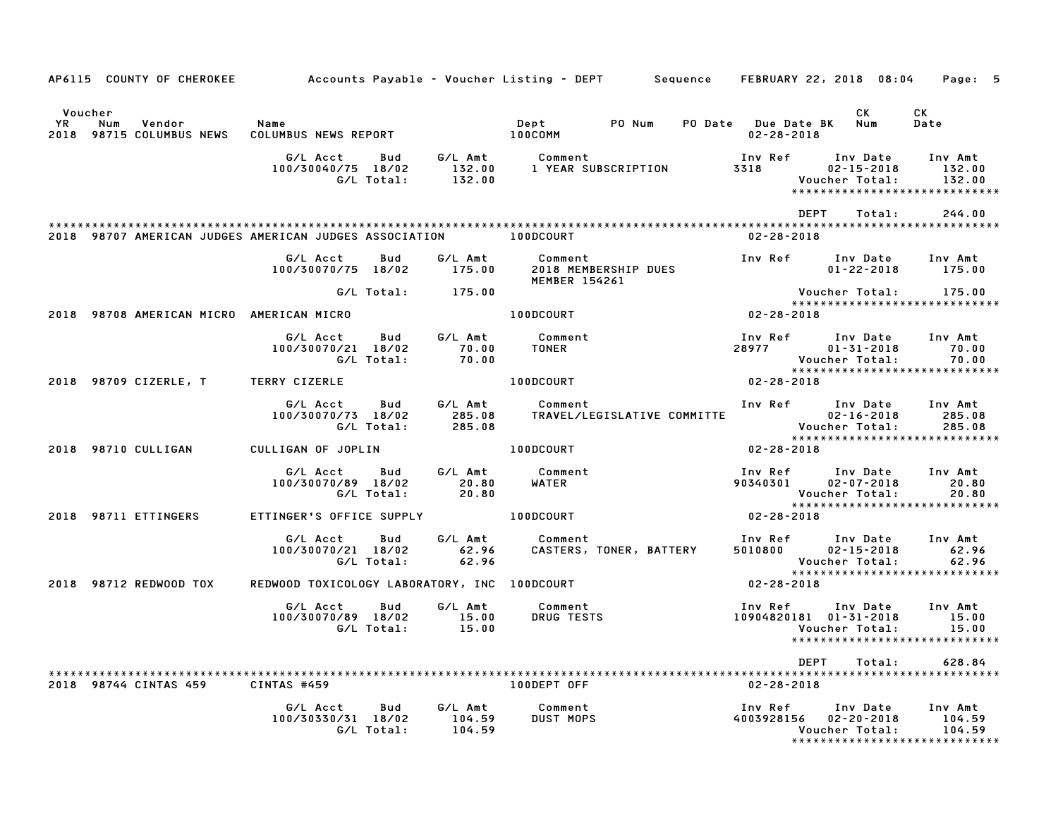|                   |                |                                     | AP6115 COUNTY OF CHEROKEE 6 Accounts Payable - Voucher Listing - DEPT 5 Sequence FEBRUARY 22, 2018 08:04 Page: 5 |                          |                                        |                                                                                                                                                       |                                 |                                                    |      |                  |                                                                                        |
|-------------------|----------------|-------------------------------------|------------------------------------------------------------------------------------------------------------------|--------------------------|----------------------------------------|-------------------------------------------------------------------------------------------------------------------------------------------------------|---------------------------------|----------------------------------------------------|------|------------------|----------------------------------------------------------------------------------------|
| <b>YR</b><br>2018 | Voucher<br>Num | Vendor<br>98715 COLUMBUS NEWS       | Name<br>COLUMBUS NEWS REPORT                                                                                     |                          |                                        | <b>Dept</b><br>100COMM                                                                                                                                | PO Num                          | PO Date Due Date BK Num<br>$02 - 28 - 2018$        |      | CK .             | CK<br>Date                                                                             |
|                   |                |                                     | G/L Acct<br>100/30040/75 18/02                                                                                   | Bud<br>G/L Total:        | 132.00                                 | G/L Amt         Comment                               Inv Ref       Inv Date<br>132.00      1 YEAR SUBSCRIPTION             3318           02–15–2018 |                                 |                                                    |      | Voucher Total:   | Inv Ref      Inv Date     Inv Amt<br>132.00<br>132.00<br>***************************** |
|                   |                |                                     | 2018 98707 AMERICAN JUDGES AMERICAN JUDGES ASSOCIATION TO DODCOURT                                               |                          |                                        |                                                                                                                                                       |                                 | $02 - 28 - 2018$                                   | DEPT | Total:           | 244.00                                                                                 |
|                   |                |                                     | G/L Acct<br>100/30070/75 18/02                                                                                   | Bud                      | G/L Amt<br>175.00                      | <b>MEMBER 154261</b>                                                                                                                                  | Comment<br>2018 MEMBERSHIP DUES | Inv Ref Inv Date                                   |      | $01 - 22 - 2018$ | Inv Amt<br>175.00                                                                      |
|                   |                |                                     |                                                                                                                  |                          | G/L Total: 175.00                      |                                                                                                                                                       |                                 |                                                    |      | Voucher Total:   | 175.00                                                                                 |
|                   |                |                                     | 2018 98708 AMERICAN MICRO AMERICAN MICRO                                                                         |                          |                                        | 100DCOURT                                                                                                                                             |                                 | $02 - 28 - 2018$                                   |      |                  | *****************************                                                          |
|                   |                |                                     | G/L Acct Bud<br>100/30070/21 18/02                                                                               |                          | G/L Amt<br>70.00<br>G/L Total: 70.00   | Comment<br>TONER                                                                                                                                      |                                 | Inv Ref<br>28977 01-31-2018                        |      | Voucher Total:   | Inv Date Inv Amt<br>70.00<br>70.00                                                     |
|                   |                | 2018 98709 CIZERLE, T TERRY CIZERLE |                                                                                                                  |                          |                                        | <b>100DCOURT</b>                                                                                                                                      |                                 | $02 - 28 - 2018$                                   |      |                  | *****************************                                                          |
|                   |                |                                     | G/L Acct<br>100/30070/73 18/02                                                                                   | <b>Bud</b><br>G/L Total: | G/L Amt<br>285.08<br>285.08            | Comment                                                                                                                                               |                                 |                                                    |      |                  | Inv Ref Inv Date Inv Amt                                                               |
|                   |                | 2018 98710 CULLIGAN                 | CULLIGAN OF JOPLIN                                                                                               |                          |                                        | 100DCOURT                                                                                                                                             |                                 | $02 - 28 - 2018$                                   |      |                  |                                                                                        |
|                   |                |                                     | G/L Acct<br>100/30070/89 18/02                                                                                   | Bud<br>G/L Total:        | 20.80<br>20.80                         | G/L Amt Comment<br>WATER                                                                                                                              |                                 | Inv Ref      Inv Date<br>90340301       02–07–2018 |      | Voucher Total:   | Inv Amt<br>20.80<br>20.80                                                              |
|                   |                | 2018 98711 ETTINGERS                | ETTINGER'S OFFICE SUPPLY THE LOODCOURT                                                                           |                          |                                        |                                                                                                                                                       |                                 | 02-28-2018                                         |      |                  |                                                                                        |
|                   |                |                                     | G/L Acct Bud<br>100/30070/21 18/02                                                                               | G/L Total:               | G/L Amt<br>62.96<br>62.96<br>62.96     | Comment                                                                                                                                               |                                 |                                                    |      | Voucher Total:   | 62.96                                                                                  |
|                   |                | 2018 98712 REDWOOD TOX              | REDWOOD TOXICOLOGY LABORATORY, INC 100DCOURT                                                                     |                          |                                        |                                                                                                                                                       |                                 | $02 - 28 - 2018$                                   |      |                  | *****************************                                                          |
|                   |                |                                     | G/L Acct<br>100/30070/89 18/02 15.00<br>G/L Total: 15.00                                                         | Bud                      | G/L Amt                                | Comment                                                                                                                                               | DRUG TESTS                      | 10904820181 01-31-2018                             |      | Voucher Total:   | Inv Ref      Inv Date     Inv Amt<br>15.00<br>15.00<br>*****************************   |
|                   |                |                                     |                                                                                                                  |                          |                                        |                                                                                                                                                       |                                 |                                                    | DEPT | Total:           | 628.84                                                                                 |
|                   |                | 2018 98744 CINTAS 459               | CINTAS #459                                                                                                      |                          |                                        | 100DEPT OFF                                                                                                                                           |                                 | $02 - 28 - 2018$                                   |      |                  |                                                                                        |
|                   |                |                                     | G/L Acct<br>100/30330/31 18/02                                                                                   | Bud                      | G/L Amt<br>104.59<br>G/L Total: 104.59 | Comment<br><b>DUST MOPS</b>                                                                                                                           |                                 | Inv Ref<br>4003928156 02-20-2018                   |      | Voucher Total:   | Inv Date Inv Amt<br>104.59<br>104.59<br>*****************************                  |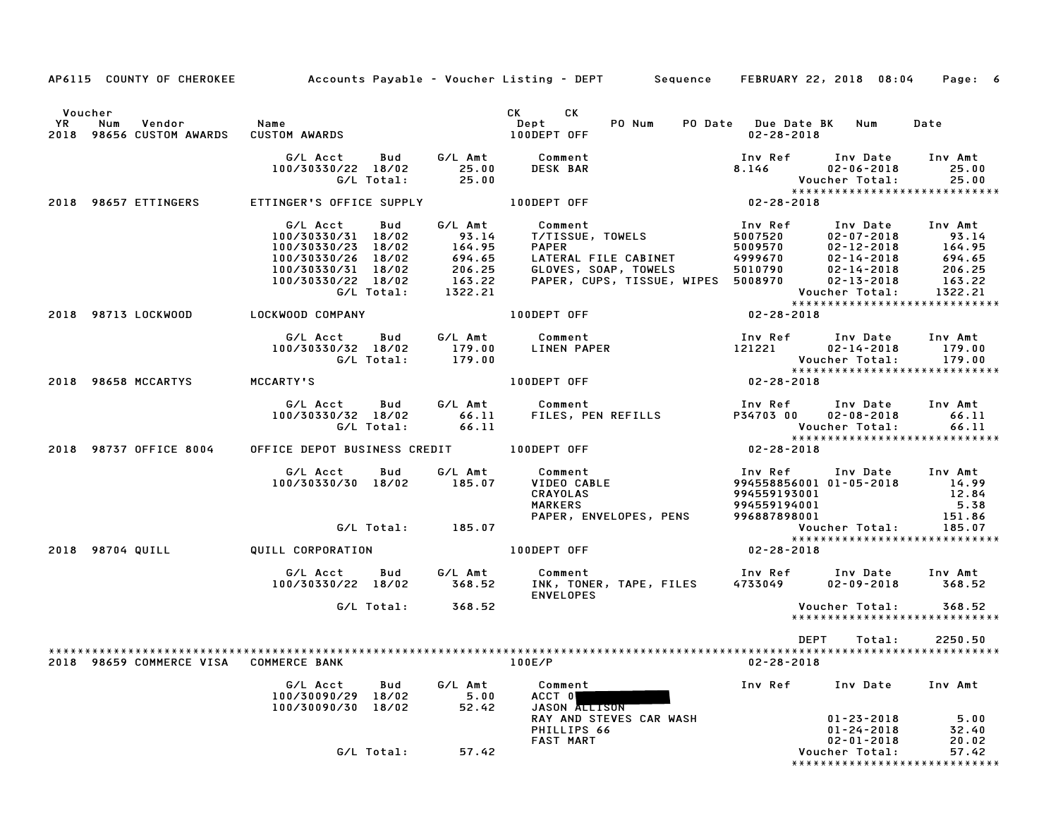|                                                         |                                                         |                   | AP6115 COUNTY OF CHEROKEE Accounts Payable - Voucher Listing - DEPT Sequence FEBRUARY 22, 2018 08:04 Page: 6                                                                                                                              |                  |                                                                                |                                |
|---------------------------------------------------------|---------------------------------------------------------|-------------------|-------------------------------------------------------------------------------------------------------------------------------------------------------------------------------------------------------------------------------------------|------------------|--------------------------------------------------------------------------------|--------------------------------|
|                                                         |                                                         |                   |                                                                                                                                                                                                                                           |                  |                                                                                |                                |
| Voucher                                                 |                                                         |                   | CK CK<br>Dept<br>Dept<br>PO Num                                                                                                                                                                                                           |                  | PO Date Due Date BK Num                                                        | Date                           |
| vR Num Vendor<br>2018 98656 CUSTOM AWARDS CUSTOM AWARDS |                                                         |                   | 100DEPT OFF                                                                                                                                                                                                                               | 02-28-2018       |                                                                                |                                |
|                                                         |                                                         |                   | G/LAcct Bud G/LAmt Comment<br>100/30330/22 18/02 25.00 DESKBAR 8.146 02-06-2018 25.00<br>G/LTotal: 25.00 DESKBAR 8.146 02-06-2018 25.00<br>TINGER'S OFFICE SUPPLY 100DEPT OFF 07-28-2018 25.00                                            |                  |                                                                                |                                |
|                                                         |                                                         |                   |                                                                                                                                                                                                                                           |                  |                                                                                |                                |
|                                                         |                                                         |                   |                                                                                                                                                                                                                                           |                  |                                                                                |                                |
|                                                         |                                                         |                   |                                                                                                                                                                                                                                           |                  |                                                                                |                                |
| 2018 98657 ETTINGERS ETTINGER'S OFFICE SUPPLY           |                                                         |                   |                                                                                                                                                                                                                                           |                  |                                                                                |                                |
|                                                         |                                                         |                   |                                                                                                                                                                                                                                           |                  |                                                                                |                                |
|                                                         |                                                         |                   |                                                                                                                                                                                                                                           |                  |                                                                                |                                |
|                                                         |                                                         |                   |                                                                                                                                                                                                                                           |                  |                                                                                |                                |
|                                                         |                                                         |                   |                                                                                                                                                                                                                                           |                  |                                                                                |                                |
|                                                         |                                                         |                   |                                                                                                                                                                                                                                           |                  |                                                                                |                                |
|                                                         |                                                         |                   |                                                                                                                                                                                                                                           |                  |                                                                                |                                |
|                                                         |                                                         |                   | G/L Acct Bud G/L Amt Comment<br>100/30330/31 18/02 93.14 T/TISSUE, TOWELS<br>100/30330/23 18/02 164.95 PAPER<br>100/30330/26 18/02 694.65 LATERAL FILE CABINET<br>100/30330/26 18/02 694.65 LATERAL FILE CABINET<br>100/30330/21 18/02 2  |                  |                                                                                |                                |
| 2018 98713 LOCKWOOD LOCKWOOD COMPANY                    |                                                         |                   | 100DEPT OFF                                                                                                                                                                                                                               | $02 - 28 - 2018$ |                                                                                |                                |
|                                                         |                                                         |                   |                                                                                                                                                                                                                                           |                  |                                                                                |                                |
|                                                         |                                                         |                   |                                                                                                                                                                                                                                           |                  |                                                                                |                                |
|                                                         |                                                         |                   |                                                                                                                                                                                                                                           |                  |                                                                                |                                |
|                                                         |                                                         |                   |                                                                                                                                                                                                                                           |                  |                                                                                |                                |
| 2018 98658 MCCARTYS MCCARTY'S                           |                                                         |                   | 6/L Acct Bud G/L Amt Comment Inv Ref Inv Date Inv Amt<br>100/30330/32 18/02 179.00 LINEN PAPER 121221 02-14-2018 179.00<br>6/L Total: 179.00 100DEPT OFF 121221 02-28-2018<br>CCARTY'S 100DEPT OFF 02-28-2018                             |                  |                                                                                |                                |
|                                                         |                                                         |                   |                                                                                                                                                                                                                                           |                  |                                                                                |                                |
|                                                         |                                                         |                   |                                                                                                                                                                                                                                           |                  |                                                                                |                                |
|                                                         |                                                         |                   |                                                                                                                                                                                                                                           |                  |                                                                                |                                |
|                                                         |                                                         |                   |                                                                                                                                                                                                                                           |                  |                                                                                |                                |
|                                                         |                                                         |                   |                                                                                                                                                                                                                                           |                  |                                                                                | ****************************** |
| 2018 98737 OFFICE 8004                                  |                                                         |                   | OFFICE DEPOT BUSINESS CREDIT 100DEPT OFF 502-28-2018                                                                                                                                                                                      |                  |                                                                                |                                |
|                                                         |                                                         |                   | 6/L Acct Bud G/L Amt Comment Inv Ref Inv Date Inv Amt<br>100/30330/30 18/02 185.07 VIDEO CABLE 994558856001 01-05-2018 14.99<br>CRAYOLAS 994559193001 12.84<br>G/L Total: 185.07 PAPER, ENVELOPES, PENS 996887898001 151.86<br>G/L Total: |                  |                                                                                |                                |
|                                                         |                                                         |                   |                                                                                                                                                                                                                                           |                  |                                                                                |                                |
|                                                         |                                                         |                   |                                                                                                                                                                                                                                           |                  |                                                                                |                                |
|                                                         |                                                         |                   |                                                                                                                                                                                                                                           |                  |                                                                                |                                |
|                                                         |                                                         |                   |                                                                                                                                                                                                                                           |                  |                                                                                |                                |
|                                                         |                                                         |                   |                                                                                                                                                                                                                                           |                  |                                                                                |                                |
|                                                         |                                                         |                   |                                                                                                                                                                                                                                           |                  |                                                                                |                                |
| 2018 98704 QUILL QUILL CORPORATION                      |                                                         |                   | 100DEPT OFF                                                                                                                                                                                                                               | $02 - 28 - 2018$ |                                                                                |                                |
|                                                         |                                                         |                   | G/L Acct Bud G/L Amt Comment 1nv Ref Inv Date Inv Amt 100/30330/22 18/02 368.52                                                                                                                                                           |                  |                                                                                |                                |
|                                                         |                                                         |                   |                                                                                                                                                                                                                                           |                  |                                                                                |                                |
|                                                         |                                                         |                   | <b>ENVELOPES</b>                                                                                                                                                                                                                          |                  |                                                                                |                                |
|                                                         |                                                         | G/L Total: 368.52 |                                                                                                                                                                                                                                           |                  | Voucher Total: 368.52                                                          | *****************************  |
|                                                         |                                                         |                   |                                                                                                                                                                                                                                           | <b>DEPT</b>      | Total:                                                                         | 2250.50                        |
|                                                         |                                                         |                   |                                                                                                                                                                                                                                           |                  |                                                                                |                                |
| 2018 98659 COMMERCE VISA COMMERCE BANK                  |                                                         |                   | 100E/P                                                                                                                                                                                                                                    | $02 - 28 - 2018$ |                                                                                |                                |
|                                                         |                                                         |                   | G/L Acct Bud G/L Amt Comment                                                                                                                                                                                                              |                  | Inv Ref Inv Date Inv Amt                                                       |                                |
|                                                         | $100/30090/29$ $18/02$ 5.00<br>100/30090/30 18/02 52.42 |                   | ACCT 0                                                                                                                                                                                                                                    |                  |                                                                                |                                |
|                                                         |                                                         |                   | JASON ALLISON                                                                                                                                                                                                                             |                  |                                                                                |                                |
|                                                         |                                                         |                   |                                                                                                                                                                                                                                           |                  |                                                                                |                                |
|                                                         |                                                         |                   |                                                                                                                                                                                                                                           |                  |                                                                                |                                |
|                                                         |                                                         |                   | JASON ALLISON<br>RAY AND STEVES CAR WASH<br>PHILLIPS 66<br>FAST MART                                                                                                                                                                      |                  | 01-23-2018 5.00<br>01-24-2018 32.40<br>02-01-2018 20.02<br>0ucher Total: 57.42 |                                |
|                                                         |                                                         | G/L Total: 57.42  |                                                                                                                                                                                                                                           |                  | Voucher Total:                                                                 |                                |
|                                                         |                                                         |                   |                                                                                                                                                                                                                                           |                  |                                                                                | *****************************  |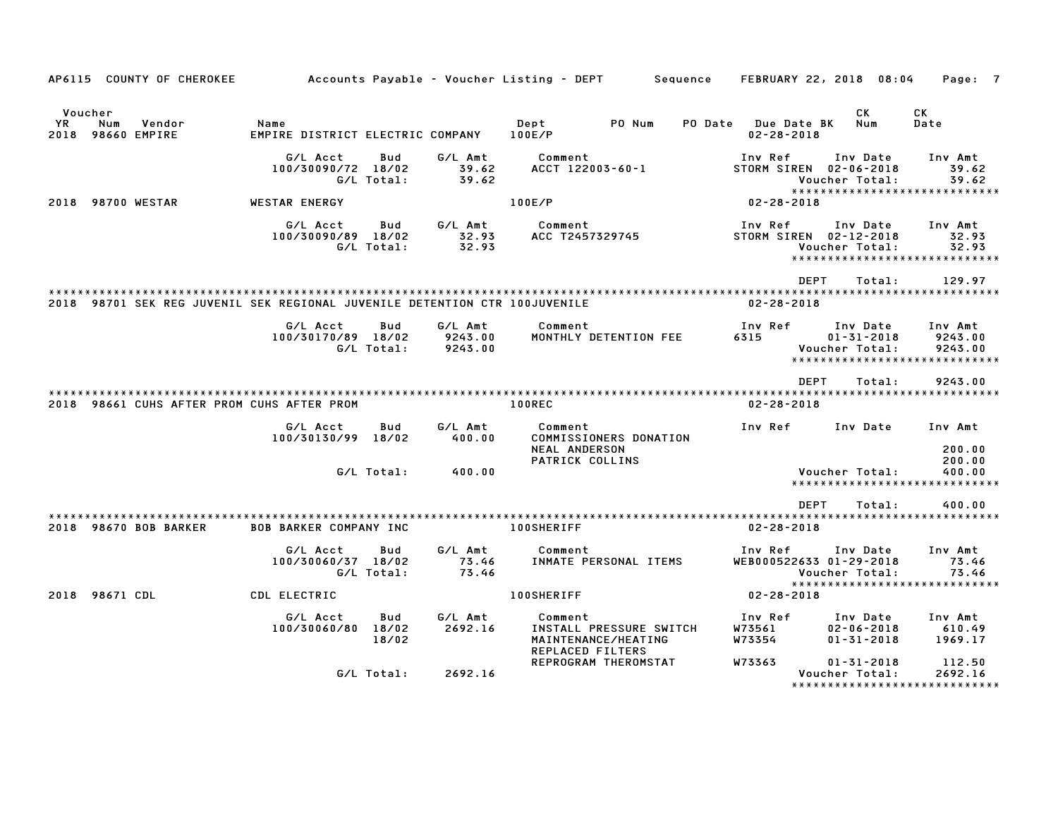| AP6115 COUNTY OF CHEROKEE                                                  |                                          |                   |                               | Accounts Payable – Voucher Listing – DEPT                                    |        | Sequence |                                        | FEBRUARY 22, 2018 08:04                                                                | Page: 7                       |
|----------------------------------------------------------------------------|------------------------------------------|-------------------|-------------------------------|------------------------------------------------------------------------------|--------|----------|----------------------------------------|----------------------------------------------------------------------------------------|-------------------------------|
| Voucher<br>Num<br>YR<br>Vendor<br>2018 98660 EMPIRE                        | Name<br>EMPIRE DISTRICT ELECTRIC COMPANY |                   |                               | Dept<br>100E/P                                                               | PO Num | PO Date  | <b>Due Date BK</b><br>$02 - 28 - 2018$ | CK<br>Num                                                                              | CK<br>Date                    |
|                                                                            | G/L Acct<br>100/30090/72 18/02           | Bud<br>G/L Total: | G/L Amt<br>39.62<br>39.62     | Comment<br>ACCT 122003-60-1                                                  |        |          | Inv Ref                                | Inv Date<br>STORM SIREN 02-06-2018<br>Voucher Total:<br>*****************************  | Inv Amt<br>39.62<br>39.62     |
| 2018 98700 WESTAR                                                          | <b>WESTAR ENERGY</b>                     |                   |                               | 100E/P                                                                       |        |          | $02 - 28 - 2018$                       |                                                                                        |                               |
|                                                                            | G/L Acct<br>100/30090/89 18/02           | Bud<br>G/L Total: | G/L Amt<br>32.93<br>32.93     | Comment<br>ACC T2457329745                                                   |        |          | Inv Ref                                | Inv Date<br>STORM SIREN 02-12-2018<br>Voucher Total:<br>****************************** | Inv Amt<br>32.93<br>32.93     |
|                                                                            |                                          |                   |                               |                                                                              |        |          |                                        | DEPT<br>Total:                                                                         | 129.97                        |
| 2018 98701 SEK REG JUVENIL SEK REGIONAL JUVENILE DETENTION CTR 100JUVENILE |                                          |                   |                               |                                                                              |        |          | $02 - 28 - 2018$                       |                                                                                        |                               |
|                                                                            | G/L Acct<br>100/30170/89 18/02           | Bud<br>G/L Total: | G/L Amt<br>9243.00<br>9243.00 | Comment<br>MONTHLY DETENTION FEE                                             |        |          | Inv Ref<br>6315                        | Inv Date<br>$01 - 31 - 2018$<br>Voucher Total:<br>******************************       | Inv Amt<br>9243.00<br>9243.00 |
|                                                                            |                                          |                   |                               |                                                                              |        |          |                                        | <b>DEPT</b><br>Total:                                                                  | 9243.00                       |
| 2018 98661 CUHS AFTER PROM CUHS AFTER PROM                                 |                                          |                   |                               | 100REC                                                                       |        |          | $02 - 28 - 2018$                       |                                                                                        |                               |
|                                                                            | G/L Acct<br>100/30130/99 18/02           | Bud               | G/L Amt<br>400.00             | Comment<br>COMMISSIONERS DONATION<br><b>NEAL ANDERSON</b><br>PATRICK COLLINS |        |          | Inv Ref                                | Inv Date                                                                               | Inv Amt<br>200.00<br>200.00   |
|                                                                            |                                          | G/L Total:        | 400.00                        |                                                                              |        |          |                                        | Voucher Total:<br>******************************                                       | 400.00                        |
|                                                                            |                                          |                   |                               |                                                                              |        |          |                                        | <b>DEPT</b><br>Total:                                                                  | 400.00                        |
| 2018 98670 BOB BARKER                                                      | <b>BOB BARKER COMPANY INC</b>            |                   |                               | <b>100SHERIFF</b>                                                            |        |          | $02 - 28 - 2018$                       |                                                                                        |                               |
|                                                                            | G/L Acct<br>100/30060/37 18/02           | Bud<br>G/L Total: | G/L Amt<br>73.46<br>73.46     | Comment<br>INMATE PERSONAL ITEMS                                             |        |          | Inv Ref                                | Inv Date<br>WEB000522633 01-29-2018<br>Voucher Total:                                  | Inv Amt<br>73.46<br>73.46     |
| 2018 98671 CDL                                                             | CDL ELECTRIC                             |                   |                               | <b>100SHERIFF</b>                                                            |        |          | 02-28-2018                             | ******************************                                                         |                               |
|                                                                            | G/L Acct                                 | Bud               | G/L Amt                       | Comment                                                                      |        |          | Inv Ref                                | Inv Date                                                                               | Inv Amt                       |
|                                                                            | 100/30060/80 18/02                       | 18/02             | 2692.16                       | INSTALL PRESSURE SWITCH<br>MAINTENANCE/HEATING<br><b>REPLACED FILTERS</b>    |        |          | W73561<br>W73354                       | $02 - 06 - 2018$<br>$01 - 31 - 2018$                                                   | 610.49<br>1969.17             |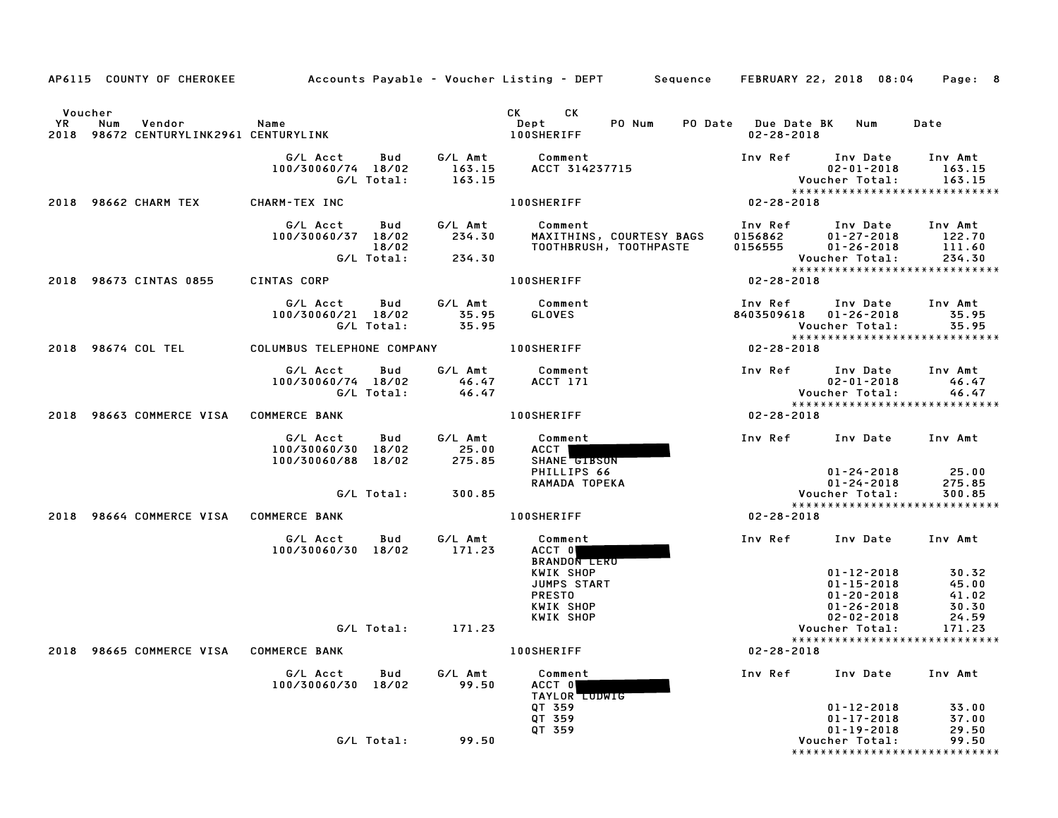|                      |                                                         |                                                      |                            |                             | AP6115 COUNTY OF CHEROKEE Accounts Payable - Voucher Listing - DEPT Sequence FEBRUARY 22, 2018 08:04                                                                                                                                                                        |                                                                              |                                                                                                | Page: 8                                                    |
|----------------------|---------------------------------------------------------|------------------------------------------------------|----------------------------|-----------------------------|-----------------------------------------------------------------------------------------------------------------------------------------------------------------------------------------------------------------------------------------------------------------------------|------------------------------------------------------------------------------|------------------------------------------------------------------------------------------------|------------------------------------------------------------|
| Voucher<br><b>YR</b> | Num<br>Vendor<br>2018 98672 CENTURYLINK2961 CENTURYLINK | <b>Name</b>                                          |                            |                             | CK<br>CK the control of the control of the control of the control of the control of the control of the control of the control of the control of the control of the control of the control of the control of the control of the contr<br>Dept<br>PO Num<br><b>100SHERIFF</b> | PO Date Due Date BK Num<br>$02 - 28 - 2018$                                  |                                                                                                | Date                                                       |
|                      |                                                         | G/L Acct<br>100/30060/74 18/02                       | Bud<br>G/L Total:          | 163.15<br>163.15            | G/L Amt Comment<br>ACCT 314237715                                                                                                                                                                                                                                           | Inv Ref Inv Date Inv Amt                                                     | $02 - 01 - 2018$<br>Voucher Total:                                                             | 163.15<br>163.15<br>*****************************          |
|                      | 2018 98662 CHARM TEX                                    | CHARM-TEX INC                                        |                            |                             | <b>100SHERIFF</b>                                                                                                                                                                                                                                                           | 02-28-2018                                                                   |                                                                                                |                                                            |
|                      |                                                         | G/L Acct<br>100/30060/37 18/02                       | Bud<br>18/02<br>G/L Total: | G/L Amt<br>234.30<br>234.30 | Comment<br>MAXITHINS, COURTESY BAGS<br>TOOTHBRUSH, TOOTHPASTE                                                                                                                                                                                                               | Inv Ref Inv Date Inv Amt<br>$0156862$ $01-27-2018$<br>$0156555$ $01-26-2018$ | Voucher Total:                                                                                 | $01 - 27 - 2018$ 122.70<br>111.60<br>234.30                |
|                      | 2018 98673 CINTAS 0855                                  | CINTAS CORP                                          |                            |                             | <b>100SHERIFF</b>                                                                                                                                                                                                                                                           | $02 - 28 - 2018$                                                             |                                                                                                | *****************************                              |
|                      |                                                         | G/L Acct Bud<br>100/30060/21 18/02                   | G/L Total:                 | 35.95<br>35.95              | G/L Amt Comment<br>GLOVES                                                                                                                                                                                                                                                   | Inv Ref      Inv Date<br>8403509618 01-26-2018                               | Voucher Total:                                                                                 | Inv Amt<br>35.95<br>35.95<br>***************************** |
|                      | 2018 98674 COL TEL                                      | COLUMBUS TELEPHONE COMPANY                           |                            |                             | 100SHERIFF                                                                                                                                                                                                                                                                  | $02 - 28 - 2018$                                                             |                                                                                                |                                                            |
|                      |                                                         | G/L Acct<br>100/30060/74 18/02                       | Bud<br>G/L Total:          | G/L Amt<br>46.47<br>46.47   | Comment<br>ACCT 171                                                                                                                                                                                                                                                         | Inv Ref Inv Date                                                             | $02 - 01 - 2018$<br><b>Voucher Total:</b>                                                      | Inv Amt<br>46.47<br>46.47                                  |
|                      | 2018 98663 COMMERCE VISA COMMERCE BANK                  |                                                      |                            |                             | <b>100SHERIFF</b>                                                                                                                                                                                                                                                           | $02 - 28 - 2018$                                                             |                                                                                                |                                                            |
|                      |                                                         | G/L Acct<br>100/30060/30 18/02<br>100/30060/88 18/02 | Bud                        | G/L Amt<br>25.00<br>275.85  | Comment<br>ACCT<br>SHANE GIBSON<br>PHILLIPS 66<br>RAMADA TOPEKA                                                                                                                                                                                                             | Inv Ref                                                                      | Inv Date Inv Amt<br>01-24-2018<br>01-24-2018                                                   | 25.00<br>275.85                                            |
|                      |                                                         |                                                      | G/L Total:                 | 300.85                      |                                                                                                                                                                                                                                                                             |                                                                              | Voucher Total:                                                                                 | 300.85<br>*****************************                    |
|                      | 2018 98664 COMMERCE VISA COMMERCE BANK                  |                                                      |                            |                             | <b>100SHERIFF</b>                                                                                                                                                                                                                                                           | 02-28-2018                                                                   |                                                                                                |                                                            |
|                      |                                                         | G/L Acct<br>100/30060/30 18/02                       | Bud                        | G/L Amt<br>171.23           | Comment<br>ACCT 0<br><b>BRANDON LERU</b>                                                                                                                                                                                                                                    | Inv Ref                                                                      | Inv Date Inv Amt                                                                               |                                                            |
|                      |                                                         |                                                      |                            |                             | KWIK SHOP<br>JUMPS START<br><b>PRESTO</b><br>KWIK SHOP<br>KWIK SHOP                                                                                                                                                                                                         |                                                                              | $01 - 12 - 2018$<br>01-15-2018<br>$01 - 20 - 2018$<br>$01 - 26 - 2018$<br>$02 - 02 - 2018$     | 30.32<br>45.00<br>41.02<br>30.30<br>24.59                  |
|                      |                                                         |                                                      | G/L Total:                 | 171.23                      |                                                                                                                                                                                                                                                                             |                                                                              | Voucher Total:                                                                                 | 171.23<br>*****************************                    |
|                      | 2018 98665 COMMERCE VISA COMMERCE BANK                  |                                                      |                            |                             | <b>100SHERIFF</b>                                                                                                                                                                                                                                                           | $02 - 28 - 2018$                                                             |                                                                                                |                                                            |
|                      |                                                         | G/L Acct<br>100/30060/30 18/02                       | Bud                        | G/L Amt<br>99.50            | Comment<br>ACCT 0<br><b>TAYLOR LUDWIG</b>                                                                                                                                                                                                                                   | Inv Ref                                                                      | Inv Date                                                                                       | Inv Amt                                                    |
|                      |                                                         |                                                      | G/L Total:                 | 99.50                       | QT 359<br>QT 359<br>QT 359                                                                                                                                                                                                                                                  |                                                                              | $01 - 12 - 2018$<br>$01 - 17 - 2018$<br>$01 - 19 - 2018$<br>Voucher Total:<br>**************** | 33.00<br>37.00<br>29.50<br>99.50<br>***********            |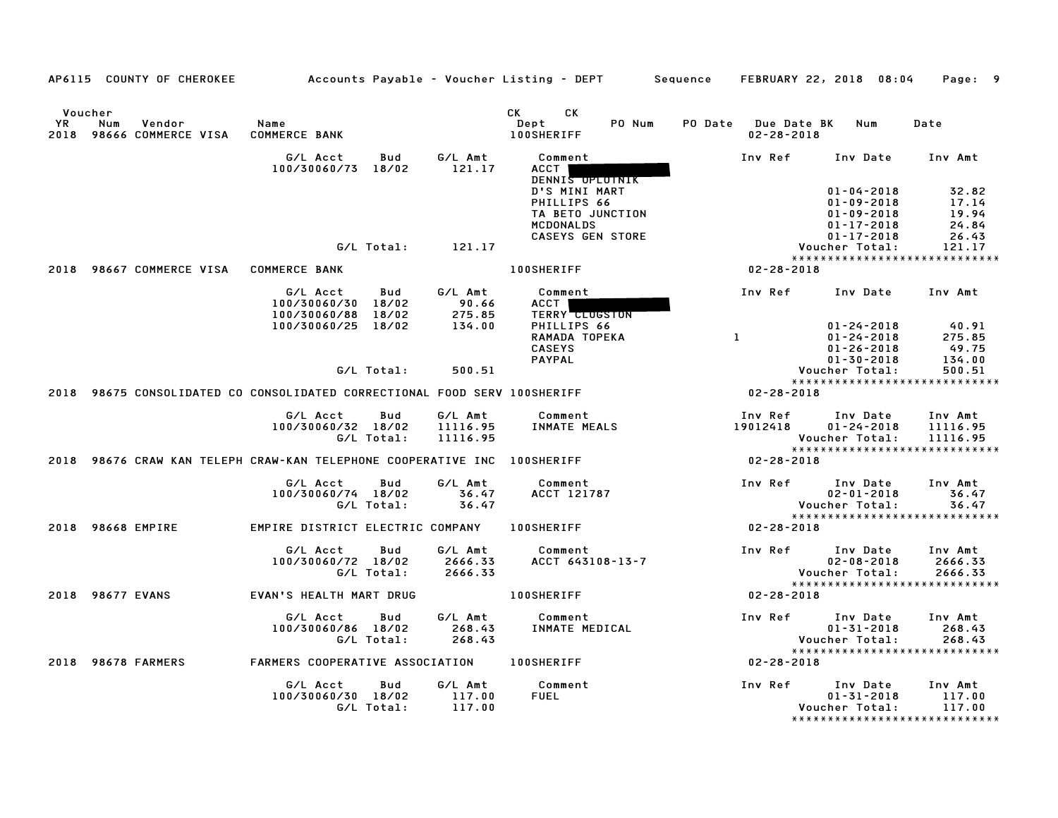|      | AP6115 COUNTY OF CHEROKEE                                                 |                                                      |            |                            | Accounts Payable – Voucher Listing – DEPT                                                       | Sequence |                                         | FEBRUARY 22, 2018 08:04                                                                          | Page: 9                                   |
|------|---------------------------------------------------------------------------|------------------------------------------------------|------------|----------------------------|-------------------------------------------------------------------------------------------------|----------|-----------------------------------------|--------------------------------------------------------------------------------------------------|-------------------------------------------|
| YR   | Voucher<br>Num<br>Vendor<br>2018 98666 COMMERCE VISA                      | Name<br><b>COMMERCE BANK</b>                         |            |                            | CK<br>СK<br>PO Num<br>Dept<br><b>100SHERIFF</b>                                                 |          | PO Date Due Date BK<br>$02 - 28 - 2018$ | Num                                                                                              | Date                                      |
|      |                                                                           | G/L Acct<br>100/30060/73 18/02                       | Bud        | G/L Amt<br>121.17          | Comment<br><b>ACCT</b><br>DENNIS OPLOINIK                                                       |          | Inv Ref                                 | Inv Date                                                                                         | Inv Amt                                   |
|      |                                                                           |                                                      |            |                            | D'S MINI MART<br>PHILLIPS 66<br>TA BETO JUNCTION<br><b>MCDONALDS</b><br><b>CASEYS GEN STORE</b> |          |                                         | $01 - 04 - 2018$<br>$01 - 09 - 2018$<br>$01 - 09 - 2018$<br>$01 - 17 - 2018$<br>$01 - 17 - 2018$ | 32.82<br>17.14<br>19.94<br>24.84<br>26.43 |
|      |                                                                           |                                                      | G/L Total: | 121.17                     |                                                                                                 |          |                                         | Voucher Total:                                                                                   | 121.17                                    |
|      |                                                                           |                                                      |            |                            |                                                                                                 |          |                                         |                                                                                                  | *****************************             |
|      | 2018 98667 COMMERCE VISA COMMERCE BANK                                    |                                                      |            |                            | <b>100SHERIFF</b>                                                                               |          | 02-28-2018                              |                                                                                                  |                                           |
|      |                                                                           | G/L Acct<br>100/30060/30 18/02<br>100/30060/88 18/02 | Bud        | G/L Amt<br>90.66<br>275.85 | Comment<br><b>ACCT</b><br><b>TERRY CLUGSTON</b>                                                 |          | Inv Ref                                 | Inv Date                                                                                         | Inv Amt                                   |
|      |                                                                           | 100/30060/25 18/02                                   |            | 134.00                     | PHILLIPS 66                                                                                     |          |                                         | $01 - 24 - 2018$                                                                                 | 40.91                                     |
|      |                                                                           |                                                      |            |                            | RAMADA TOPEKA                                                                                   |          | $\mathbf{1}$                            | $01 - 24 - 2018$                                                                                 | 275.85                                    |
|      |                                                                           |                                                      |            |                            | <b>CASEYS</b><br><b>PAYPAL</b>                                                                  |          |                                         | $01 - 26 - 2018$<br>$01 - 30 - 2018$                                                             | 49.75<br>134.00                           |
|      |                                                                           |                                                      | G/L Total: | 500.51                     |                                                                                                 |          |                                         | Voucher Total:                                                                                   | 500.51                                    |
|      |                                                                           |                                                      |            |                            |                                                                                                 |          |                                         |                                                                                                  | *****************************             |
|      | 2018 98675 CONSOLIDATED CO CONSOLIDATED CORRECTIONAL FOOD SERV 100SHERIFF |                                                      |            |                            |                                                                                                 |          | $02 - 28 - 2018$                        |                                                                                                  |                                           |
|      |                                                                           | G/L Acct                                             | Bud        | G/L Amt                    | Comment                                                                                         |          | Inv Ref                                 | Inv Date                                                                                         | Inv Amt                                   |
|      |                                                                           | 100/30060/32 18/02                                   |            | 11116.95                   | INMATE MEALS                                                                                    |          | 19012418                                | $01 - 24 - 2018$                                                                                 | 11116.95                                  |
|      |                                                                           |                                                      | G/L Total: | 11116.95                   |                                                                                                 |          |                                         | Voucher Total:                                                                                   | 11116.95<br>***************************** |
|      | 2018 98676 CRAW KAN TELEPH CRAW-KAN TELEPHONE COOPERATIVE INC 100SHERIFF  |                                                      |            |                            |                                                                                                 |          | 02-28-2018                              |                                                                                                  |                                           |
|      |                                                                           | G/L Acct                                             | Bud        | G/L Amt                    | Comment                                                                                         |          | Inv Ref                                 | Inv Date                                                                                         | Inv Amt                                   |
|      |                                                                           | 100/30060/74 18/02                                   |            | 36.47                      | ACCT 121787                                                                                     |          |                                         | $02 - 01 - 2018$                                                                                 | 36.47                                     |
|      |                                                                           |                                                      | G/L Total: | 36.47                      |                                                                                                 |          |                                         | Voucher Total:                                                                                   | 36.47                                     |
|      | 2018 98668 EMPIRE                                                         | EMPIRE DISTRICT ELECTRIC COMPANY                     |            |                            | <b>100SHERIFF</b>                                                                               |          | $02 - 28 - 2018$                        |                                                                                                  | *****************************             |
|      |                                                                           | G/L Acct                                             | Bud        | G/L Amt                    | Comment                                                                                         |          | Inv Ref                                 | Inv Date                                                                                         | Inv Amt                                   |
|      |                                                                           | 100/30060/72 18/02                                   |            | 2666.33                    | ACCT 643108-13-7                                                                                |          |                                         | $02 - 08 - 2018$                                                                                 | 2666.33                                   |
|      |                                                                           |                                                      | G/L Total: | 2666.33                    |                                                                                                 |          |                                         | Voucher Total:                                                                                   | 2666.33                                   |
|      |                                                                           |                                                      |            |                            |                                                                                                 |          |                                         |                                                                                                  | *****************************             |
|      | 2018 98677 EVANS                                                          | EVAN'S HEALTH MART DRUG                              |            |                            | <b>100SHERIFF</b>                                                                               |          | $02 - 28 - 2018$                        |                                                                                                  |                                           |
|      |                                                                           | G/L Acct                                             | Bud        | G/L Amt                    | Comment                                                                                         |          | Inv Ref                                 | Inv Date                                                                                         | Inv Amt                                   |
|      |                                                                           | 100/30060/86 18/02                                   |            | 268.43                     | INMATE MEDICAL                                                                                  |          |                                         | $01 - 31 - 2018$                                                                                 | 268.43                                    |
|      |                                                                           |                                                      | G/L Total: | 268.43                     |                                                                                                 |          |                                         | Voucher Total:                                                                                   | 268.43<br>*****************************   |
| 2018 | 98678 FARMERS                                                             | FARMERS COOPERATIVE ASSOCIATION                      |            |                            | <b>100SHERIFF</b>                                                                               |          | 02-28-2018                              |                                                                                                  |                                           |
|      |                                                                           | G/L Acct<br>100/30060/30 18/02                       | Bud        | G/L Amt<br>117.00          | Comment<br><b>FUEL</b>                                                                          |          | Inv Ref                                 | Inv Date<br>$01 - 31 - 2018$                                                                     | Inv Amt<br>117.00                         |
|      |                                                                           |                                                      | G/L Total: | 117.00                     |                                                                                                 |          |                                         | Voucher Total:                                                                                   | 117.00                                    |
|      |                                                                           |                                                      |            |                            |                                                                                                 |          |                                         |                                                                                                  | *******************************           |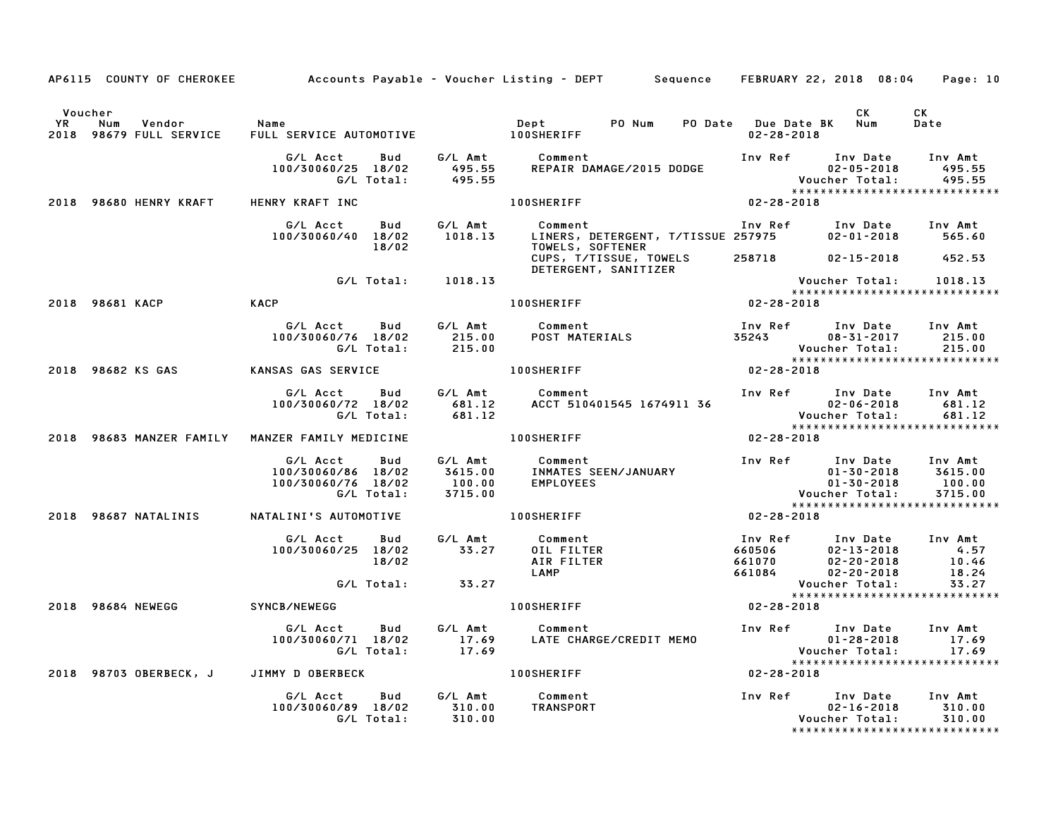|                      |                                               |                                                                                                 | AP6115 COUNTY OF CHEROKEE Accounts Payable - Voucher Listing - DEPT Sequence FEBRUARY 22, 2018 08:04                                                                                                                         |                                               |                       | Page: 10                      |
|----------------------|-----------------------------------------------|-------------------------------------------------------------------------------------------------|------------------------------------------------------------------------------------------------------------------------------------------------------------------------------------------------------------------------------|-----------------------------------------------|-----------------------|-------------------------------|
| Voucher<br><b>YR</b> | Vendor Name<br>Num<br>2018 98679 FULL SERVICE |                                                                                                 |                                                                                                                                                                                                                              | PO Date Due Date BK Num<br>02-28-2018         | CK D                  | CK<br>Date                    |
|                      |                                               |                                                                                                 |                                                                                                                                                                                                                              |                                               |                       |                               |
|                      | 2018 98680 HENRY KRAFT HENRY KRAFT INC        |                                                                                                 | 100SHERIFF 02-28-2018                                                                                                                                                                                                        |                                               |                       |                               |
|                      |                                               | 18/02                                                                                           | G/L Acct Bud G/L Amt Comment Inv Ref Inv Date Inv Amt<br>100/30060/40 18/02 1018.13 LINERS, DETERGENT, T/TISSUE 257975 02-01-2018 565.60                                                                                     |                                               |                       |                               |
|                      |                                               |                                                                                                 | DETERGENT, SANITIZER                                                                                                                                                                                                         |                                               |                       |                               |
|                      |                                               | G/L Total: 1018.13                                                                              | Voucher Total: 1018.13<br>XXXXXXXXXXXXXXXXXXXXXXXXXXXXXXXXXX<br>100SHERIFF 02-28-2018                                                                                                                                        |                                               |                       |                               |
|                      | 2018 98681 KACP                               | KACP                                                                                            |                                                                                                                                                                                                                              |                                               |                       |                               |
|                      |                                               |                                                                                                 |                                                                                                                                                                                                                              |                                               |                       |                               |
|                      |                                               | 2018 98682 KS GAS KANSAS GAS SERVICE 100SHERIFF                                                 |                                                                                                                                                                                                                              |                                               |                       |                               |
|                      |                                               |                                                                                                 | 6/L Acct Bud 6/L Amt Comment Inv Ref Inv Date Inv Amt<br>100/30060/72 18/02 681.12 ACCT 510401545 1674911 36 02-06-2018 681.12<br>6/L Total: 681.12 6/L Total: 681.12 6/L Total: 681.12                                      |                                               |                       |                               |
|                      |                                               |                                                                                                 |                                                                                                                                                                                                                              | $02 - 28 - 2018$                              |                       |                               |
|                      |                                               |                                                                                                 | G/L Acct      Bud      G/L Amt      Comment<br>100/30060/86   18/02      3615.00     INMATES SEEN/JANUARY<br>100/30060/76   18/02         100.00     EMPLOYEES<br>G/L Total:        3715.00                                  |                                               |                       | ***************************** |
|                      | 2018 98687 NATALINIS                          |                                                                                                 | NATALINI'S AUTOMOTIVE 100SHERIFF 100 02-28-2018                                                                                                                                                                              |                                               |                       |                               |
|                      |                                               |                                                                                                 | 6/LAcct Bud 6/LAmt Comment<br>100/30060/25 18/02 33.27 0ILFILTER 660506 02-13-2018 4.57<br>18/02 18/02 AIRFILTER 661070 02-20-2018 10.46<br>661084 02-20-2018 18.24<br>661084 02-20-2018 18.24<br>73.27 Voucher Total: 33.27 |                                               |                       |                               |
|                      |                                               | G/L Total: 33.27                                                                                |                                                                                                                                                                                                                              |                                               | Voucher Total:        | 18.24<br>33.27                |
|                      | 2018 98684 NEWEGG                             | SYNCB/NEWEGG                                                                                    | <b>100SHERIFF</b>                                                                                                                                                                                                            | $02 - 28 - 2018$                              |                       | ***************************** |
|                      |                                               |                                                                                                 | G/L Acct Bud G/L Amt Comment Inv Ref Inv Date Inv Amt<br>100/30060/71 18/02 17.69 LATE CHARGE/CREDIT MEMO 01-28-2018 17.69<br>G/L Total: 17.69 Voucher Total: 17.69                                                          |                                               |                       |                               |
|                      |                                               | 2018 98703 OBERBECK, J JIMMY D OBERBECK 100SHERIFF                                              |                                                                                                                                                                                                                              | $02 - 28 - 2018$                              |                       |                               |
|                      |                                               | G/L Acct  Bud  G/L Amt  Comment<br>100/30060/89  18/02  310.00  TRANSPORT<br>G/L Total:  310.00 |                                                                                                                                                                                                                              | Inv Ref Inv Date Inv Amt<br>02-16-2018 310.00 | Voucher Total: 310.00 | ***************************** |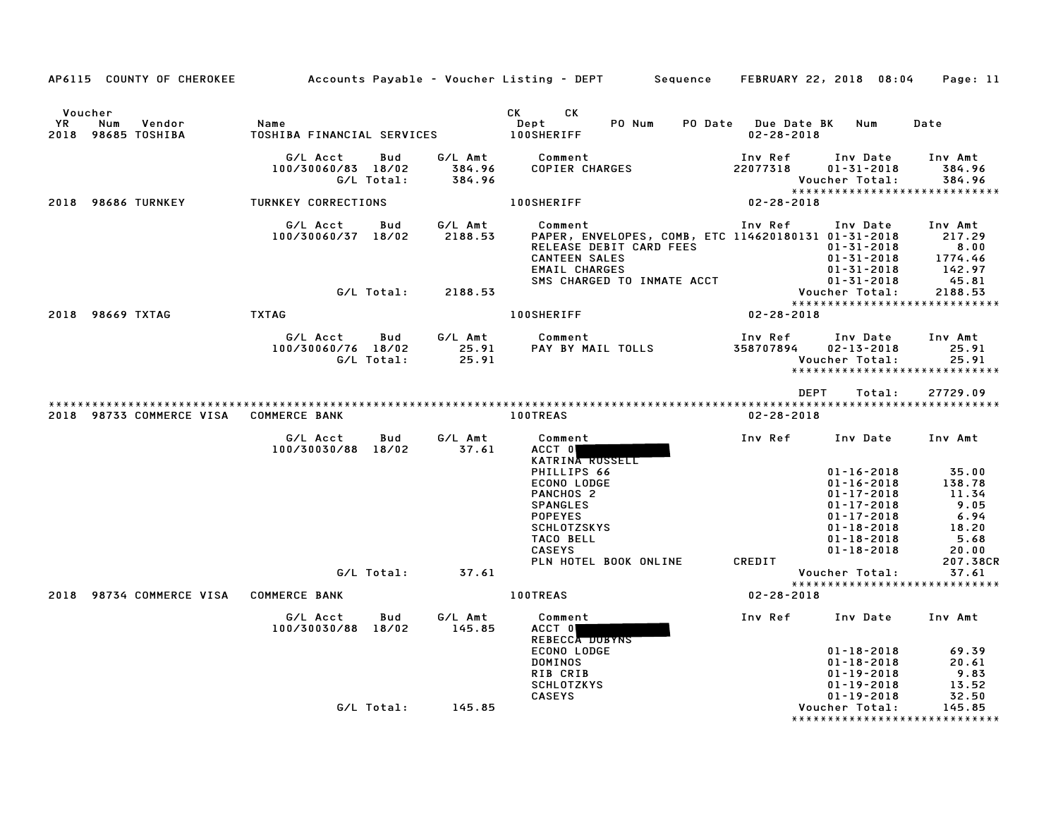| AP6115 COUNTY OF CHEROKEE                            |                                    |                   |                             | Accounts Payable – Voucher Listing – DEPT         Sequence     FEBRUARY 22, 2018  08:04                                                                                                                                                                                     |                                         |                                                                                                                      | Page: 11                                                   |
|------------------------------------------------------|------------------------------------|-------------------|-----------------------------|-----------------------------------------------------------------------------------------------------------------------------------------------------------------------------------------------------------------------------------------------------------------------------|-----------------------------------------|----------------------------------------------------------------------------------------------------------------------|------------------------------------------------------------|
| Voucher<br>YR<br>Num<br>Vendor<br>2018 98685 TOSHIBA | Name<br>TOSHIBA FINANCIAL SERVICES |                   |                             | CK and the set of the set of the set of the set of the set of the set of the set of the set of the set of the set of the set of the set of the set of the set of the set of the set of the set of the set of the set of the se<br>CK<br>PO Num<br>Dept<br><b>100SHERIFF</b> | PO Date Due Date BK<br>$02 - 28 - 2018$ | Num                                                                                                                  | Date                                                       |
|                                                      | G/L Acct<br>100/30060/83 18/02     | Bud<br>G/L Total: | G/L Amt<br>384.96<br>384.96 | Comment<br>COPIER CHARGES                                                                                                                                                                                                                                                   | Inv Ref<br>22077318                     | Inv Date<br>$01 - 31 - 2018$<br>Voucher Total:                                                                       | Inv Amt<br>384.96<br>384.96                                |
| 2018 98686 TURNKEY                                   | TURNKEY CORRECTIONS                |                   |                             | <b>100SHERIFF</b>                                                                                                                                                                                                                                                           | 02-28-2018                              |                                                                                                                      | *****************************                              |
|                                                      | G/L Acct<br>100/30060/37 18/02     | Bud               | G/L Amt<br>2188.53          | Comment<br>PAPER, ENVELOPES, COMB, ETC 114620180131 01-31-2018<br>RELEASE DEBIT CARD FEES<br><b>CANTEEN SALES</b><br>EMAIL CHARGES<br>SMS CHARGED TO INMATE ACCT                                                                                                            | Inv Ref                                 | Inv Date<br>01-31-2018<br>$01 - 31 - 2018$<br>$01 - 31 - 2018$<br>$01 - 31 - 2018$                                   | Inv Amt<br>217.29<br>8.00<br>1774.46<br>142.97<br>45.81    |
|                                                      |                                    | G/L Total:        | 2188.53                     |                                                                                                                                                                                                                                                                             |                                         | Voucher Total:                                                                                                       | 2188.53<br>*****************************                   |
| 2018 98669 TXTAG                                     | <b>TXTAG</b>                       |                   |                             | <b>100SHERIFF</b>                                                                                                                                                                                                                                                           | $02 - 28 - 2018$                        |                                                                                                                      |                                                            |
|                                                      | G/L Acct<br>100/30060/76 18/02     | Bud<br>G/L Total: | G/L Amt<br>25.91<br>25.91   | Comment<br>PAY BY MAIL TOLLS                                                                                                                                                                                                                                                | Inv Ref<br>358707894                    | Inv Date<br>$02 - 13 - 2018$<br>Voucher Total:                                                                       | Inv Amt<br>25.91<br>25.91<br>***************************** |
|                                                      |                                    |                   |                             |                                                                                                                                                                                                                                                                             | <b>DEPT</b>                             | Total:                                                                                                               | 27729.09                                                   |
| 2018 98733 COMMERCE VISA                             | <b>COMMERCE BANK</b>               |                   |                             | <b>100TREAS</b>                                                                                                                                                                                                                                                             | $02 - 28 - 2018$                        |                                                                                                                      |                                                            |
|                                                      | G/L Acct<br>100/30030/88 18/02     | Bud               | G/L Amt<br>37.61            | Comment<br>ACCT 0<br>KATRINA RUSSELL<br>PHILLIPS 66<br>ECONO LODGE                                                                                                                                                                                                          | Inv Ref                                 | Inv Date<br>$01 - 16 - 2018$<br>$01 - 16 - 2018$                                                                     | Inv Amt<br>35.00<br>138.78                                 |
|                                                      |                                    |                   |                             | PANCHOS <sub>2</sub><br><b>SPANGLES</b><br><b>POPEYES</b><br><b>SCHLOTZSKYS</b><br><b>TACO BELL</b><br><b>CASEYS</b>                                                                                                                                                        |                                         | $01 - 17 - 2018$<br>$01 - 17 - 2018$<br>$01 - 17 - 2018$<br>$01 - 18 - 2018$<br>$01 - 18 - 2018$<br>$01 - 18 - 2018$ | 11.34<br>9.05<br>6.94<br>18.20<br>5.68<br>20.00            |
|                                                      |                                    | G/L Total:        | 37.61                       | PLN HOTEL BOOK ONLINE                                                                                                                                                                                                                                                       | CREDIT                                  | Voucher Total:                                                                                                       | 207.38CR<br>37.61                                          |
| 2018 98734 COMMERCE VISA                             | <b>COMMERCE BANK</b>               |                   |                             | <b>100TREAS</b>                                                                                                                                                                                                                                                             | 02-28-2018                              |                                                                                                                      | *****************************                              |
|                                                      |                                    | Bud               | G/L Amt                     |                                                                                                                                                                                                                                                                             | Inv Ref                                 |                                                                                                                      | Inv Amt                                                    |
|                                                      | G/L Acct<br>100/30030/88 18/02     |                   | 145.85                      | Comment<br>ACCT 0<br>REBECCA DUBYNS<br>ECONO LODGE<br><b>DOMINOS</b><br>RIB CRIB<br><b>SCHLOTZKYS</b>                                                                                                                                                                       |                                         | Inv Date<br>$01 - 18 - 2018$<br>$01 - 18 - 2018$<br>01-19-2018<br>$01 - 19 - 2018$                                   | 69.39<br>20.61<br>9.83<br>13.52                            |
|                                                      |                                    | G/L Total:        | 145.85                      | <b>CASEYS</b>                                                                                                                                                                                                                                                               |                                         | $01 - 19 - 2018$<br>Voucher Total:                                                                                   | 32.50<br>145.85<br>*****************************           |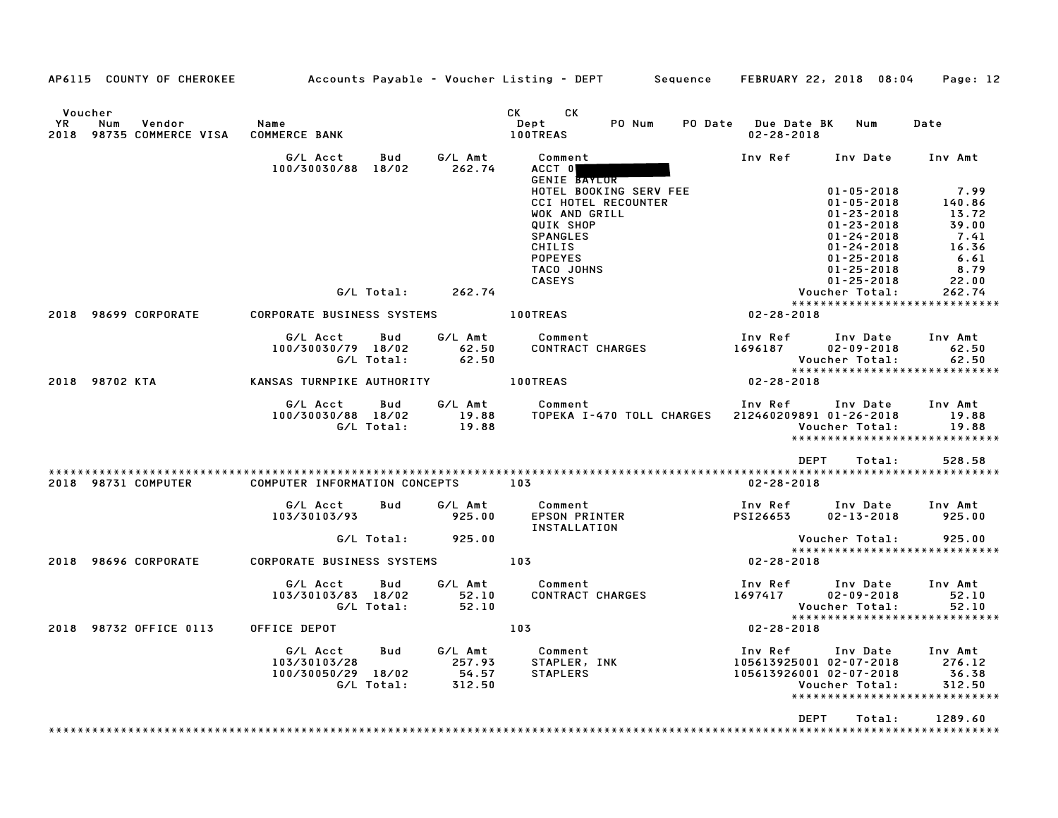| AP6115 COUNTY OF CHEROKEE                                   | Accounts Payable - Voucher Listing - DEPT Sequence FEBRUARY 22, 2018 08:04 |                                      |                                                                                                                              |                                                               |                                                                                            | Page: 12                                                              |
|-------------------------------------------------------------|----------------------------------------------------------------------------|--------------------------------------|------------------------------------------------------------------------------------------------------------------------------|---------------------------------------------------------------|--------------------------------------------------------------------------------------------|-----------------------------------------------------------------------|
| Voucher<br>YR.<br>Num<br>Vendor<br>2018 98735 COMMERCE VISA | Name<br><b>COMMERCE BANK</b>                                               |                                      | CK C<br>CK<br>PO Num<br>Dept<br><b>100TREAS</b>                                                                              | PO Date Due Date BK Num<br>$02 - 28 - 2018$                   |                                                                                            | Date                                                                  |
|                                                             | G/L Acct<br>Bud<br>100/30030/88 18/02                                      | G/L Amt<br>262.74                    | Comment<br>ACCT 0                                                                                                            | Inv Ref Inv Date Inv Amt                                      |                                                                                            |                                                                       |
|                                                             |                                                                            |                                      | <b>GENIE BAYLOR</b><br>HOTEL BOOKING SERV FEE<br><b>CCI HOTEL RECOUNTER</b><br>WOK AND GRILL<br>QUIK SHOP<br><b>SPANGLES</b> |                                                               | $01 - 05 - 2018$<br>$01 - 05 - 2018$<br>$01 - 23 - 2018$<br>$01 - 23 - 2018$<br>01-24-2018 | 7.99<br>140.86<br>13.72<br>39.00<br>7.41                              |
|                                                             |                                                                            |                                      | CHILIS<br><b>POPEYES</b><br>TACO JOHNS<br><b>CASEYS</b>                                                                      |                                                               | $01 - 24 - 2018$<br>$01 - 25 - 2018$<br>$01 - 25 - 2018$<br>$01 - 25 - 2018$               | 16.36<br>6.61<br>8.79<br>22.00                                        |
|                                                             | G/L Total:                                                                 | 262.74                               |                                                                                                                              |                                                               | Voucher Total:                                                                             | 262.74                                                                |
| 2018 98699 CORPORATE                                        | CORPORATE BUSINESS SYSTEMS                                                 |                                      | <b>100TREAS</b>                                                                                                              | $02 - 28 - 2018$                                              |                                                                                            | *****************************                                         |
|                                                             | G/L Acct<br>Bud<br>100/30030/79 18/02<br>G/L Total:                        | G/L Amt<br>62.50<br>62.50            | Comment<br>CONTRACT CHARGES                                                                                                  | Inv Ref Inv Date<br>1696187                                   | $02 - 09 - 2018$<br>Voucher Total:                                                         | Inv Amt<br>62.50<br>62.50                                             |
| 2018 98702 KTA                                              | KANSAS TURNPIKE AUTHORITY 100TREAS                                         |                                      |                                                                                                                              | 02-28-2018                                                    |                                                                                            |                                                                       |
|                                                             | G/L Acct<br>Bud<br>100/30030/88 18/02<br>G/L Total:                        | 19.88                                | G/L Amt Comment<br>19.88 TOPEKA I-470 TOLL CHARGES                                                                           | Inv Ref<br>212460209891 01-26-2018                            | Inv Date<br>Voucher Total:                                                                 | Inv Amt<br>19.88<br>19.88<br>*****************************            |
|                                                             |                                                                            |                                      |                                                                                                                              | DEPT                                                          | Total:                                                                                     | 528.58                                                                |
| 2018 98731 COMPUTER                                         | COMPUTER INFORMATION CONCEPTS                                              |                                      | 103                                                                                                                          | $02 - 28 - 2018$                                              |                                                                                            |                                                                       |
|                                                             | G/L Acct<br><b>Bud</b><br>103/30103/93                                     | 925.00                               | G/L Amt Comment<br>EPSON PRINTER<br>INSTALLATION                                                                             | Inv Ref Inv Date Inv Amt<br>PSI26653                          | $02 - 13 - 2018$                                                                           | 925.00                                                                |
|                                                             |                                                                            | $G/L$ Total: $925.00$                |                                                                                                                              |                                                               | Voucher Total:                                                                             | 925.00                                                                |
| 2018 98696 CORPORATE                                        | <b>CORPORATE BUSINESS SYSTEMS</b>                                          |                                      | 103                                                                                                                          | $02 - 28 - 2018$                                              |                                                                                            |                                                                       |
|                                                             | G/L Acct<br>Bud<br>103/30103/83 18/02<br>G/L Total:                        | G/L Amt<br>52.10<br>52.10            | Comment<br>CONTRACT CHARGES                                                                                                  | Inv Ref Inv Date<br>1697417                                   | $02 - 09 - 2018$<br>Voucher Total:                                                         | Inv Amt<br>52.10<br>52.10<br>*****************************            |
| 2018 98732 OFFICE 0113                                      | OFFICE DEPOT                                                               |                                      | 103                                                                                                                          | $02 - 28 - 2018$                                              |                                                                                            |                                                                       |
|                                                             | G/L Acct<br>Bud<br>103/30103/28<br>100/30050/29 18/02<br>G/L Total:        | G/L Amt<br>257.93<br>54.57<br>312.50 | Comment<br>STAPLER<br>STAPLER, INK<br>STAPLERS                                                                               | Inv Ref<br>105613925001 02-07-2018<br>105613926001 02-07-2018 | Inv Date<br>Voucher Total:                                                                 | Inv Amt<br>276.12<br>36.38<br>312.50<br>***************************** |
|                                                             |                                                                            |                                      |                                                                                                                              | DEPT                                                          | Total:                                                                                     | 1289.60                                                               |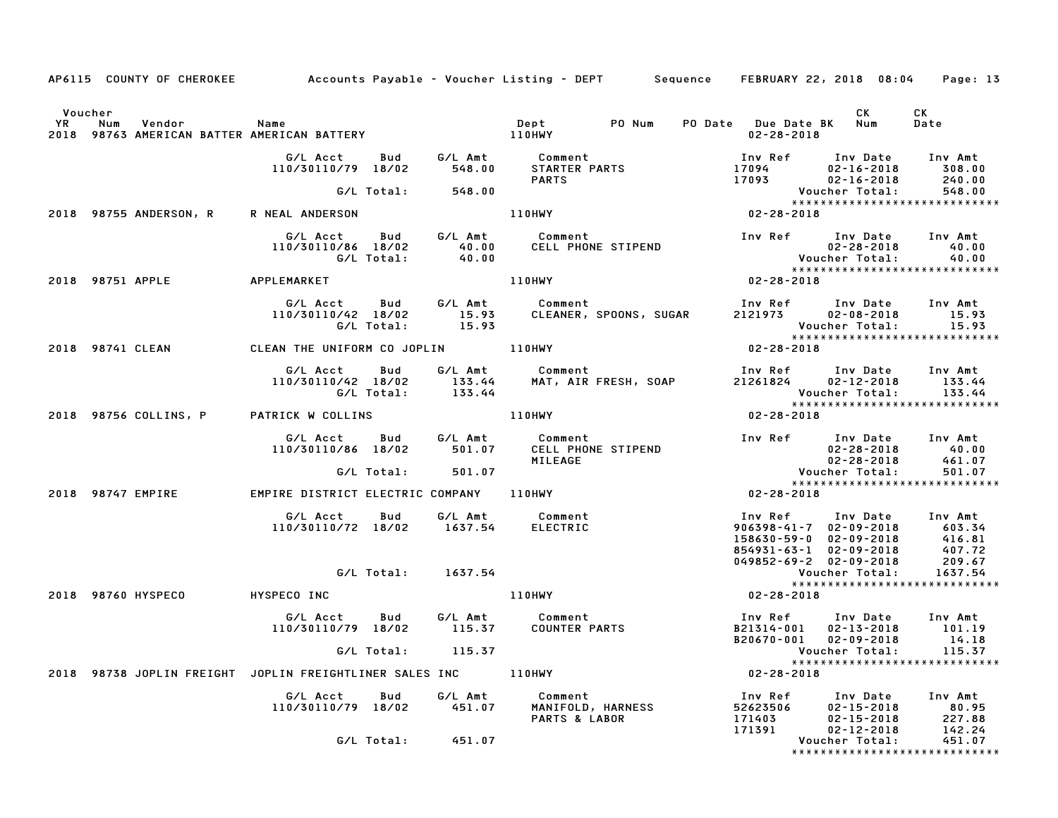|                      |                                                                                                       |                                                                                                            |            |                                              | AP6115 COUNTY OF CHEROKEE Accounts Payable – Voucher Listing – DEPT Sequence FEBRUARY 22, 2018 08:04 |                                         |                                                                                                                                                                       | Page: 13                             |
|----------------------|-------------------------------------------------------------------------------------------------------|------------------------------------------------------------------------------------------------------------|------------|----------------------------------------------|------------------------------------------------------------------------------------------------------|-----------------------------------------|-----------------------------------------------------------------------------------------------------------------------------------------------------------------------|--------------------------------------|
| Voucher<br><b>YR</b> | Num<br>Vendor<br>YR Num Vendor – Name<br>2018 98763 AMERICAN BATTER AMERICAN BATTERY – – – – – 110HWY | <b>Subset Street Street Street Street Street Street Street Street Street Street Street Street Street S</b> |            |                                              | <b>Dept</b><br>PO Num                                                                                |                                         | CK.<br>PO Date Due Date BK Num<br>$02 - 28 - 2018$                                                                                                                    | CK<br>Date                           |
|                      |                                                                                                       | G/L Acct<br>110/30110/79 18/02                                                                             | Bud        | G/L Amt<br>548.00                            | Comment<br>STARTER PARTS<br><b>PARTS</b>                                                             | 17093                                   | Inv Ref      Inv Date<br>$17094$ $02 - 16 - 2018$<br>$02 - 16 - 2018$                                                                                                 | Inv Amt<br>308.00<br>240.00          |
|                      | 2018 98755 ANDERSON, R                                                                                | R NEAL ANDERSON                                                                                            |            | G/L Total: 548.00                            | <b>110HWY</b>                                                                                        | $02 - 28 - 2018$                        | ******************************                                                                                                                                        | 548.00                               |
|                      |                                                                                                       | G/L Acct<br>110/30110/86 18/02<br>G/L Total:                                                               | Bud        | $\begin{array}{c} 40.00 \ 40.00 \end{array}$ | G/L Amt Comment<br>CELL PHONE STIPEND                                                                |                                         | Inv Ref Inv Date Inv Amt<br>Date<br>02-28-2018<br>Youcher Total:                                                                                                      | 40.00<br>40.00                       |
|                      | 2018 98751 APPLE                                                                                      | APPLEMARKET                                                                                                |            |                                              | 110HWY                                                                                               | $02 - 28 - 2018$                        | *****************************                                                                                                                                         |                                      |
|                      |                                                                                                       | G/L Acct Bud<br>110/30110/42 18/02                                                                         | G/L Total: | 15.93                                        | G/L Amt         Comment<br>15.93      CLEANER,<br>15.93<br>CLEANER, SPOONS, SUGAR                    |                                         | Inv Ref Inv Date<br>2121973 02–08–2018<br>Voucher Total:<br>*****************************                                                                             | Inv Amt<br>15.93<br>15.93            |
|                      | 2018 98741 CLEAN                                                                                      | CLEAN THE UNIFORM CO JOPLIN 110HWY                                                                         |            |                                              |                                                                                                      | $02 - 28 - 2018$                        |                                                                                                                                                                       |                                      |
|                      |                                                                                                       | G/L Acct<br>110/30110/42 18/02<br>G/L Total:                                                               | Bud        | 133.44<br>133.44                             | G/L Amt Comment<br>MAT, AIR FRESH, SOAP                                                              | 21261824                                | Inv Ref Inv Date Inv Amt<br>$02 - 12 - 2018$<br>Voucher Total:<br>******************************                                                                      | 133.44<br>133.44                     |
|                      | 2018 98756 COLLINS, P                                                                                 | PATRICK W COLLINS                                                                                          |            |                                              | 110HWY                                                                                               | $02 - 28 - 2018$                        |                                                                                                                                                                       |                                      |
|                      |                                                                                                       | G/L Acct<br>110/30110/86 18/02                                                                             | Bud        | 501.07                                       | G/L Amt Comment<br>CELL PHONE STIPEND<br>MILEAGE                                                     |                                         | Inv Ref Inv Date<br>02-28-2018<br>02-28-2018                                                                                                                          | Inv Amt<br>40.00<br>461.07           |
|                      |                                                                                                       |                                                                                                            | G/L Total: | 501.07                                       |                                                                                                      |                                         | Voucher Total:<br>*****************************                                                                                                                       | 501.07                               |
|                      | 2018 98747 EMPIRE                                                                                     | EMPIRE DISTRICT ELECTRIC COMPANY 110HWY                                                                    |            |                                              |                                                                                                      | $02 - 28 - 2018$                        |                                                                                                                                                                       |                                      |
|                      |                                                                                                       | G/L Acct<br>110/30110/72 18/02 1637.54                                                                     | Bud        |                                              | G/L Amt Comment<br>ELECTRIC                                                                          |                                         | Inv Ref      Inv Date     Inv Amt<br>906398-41-7 02-09-2018 603.34<br>158630-59-0 02-09-2018 416.81<br>854931-63-1 02-09-2018 407.72<br>049852-69-2 02-09-2018 209.67 |                                      |
|                      |                                                                                                       |                                                                                                            |            | G/L Total: 1637.54                           |                                                                                                      |                                         | Voucher Total:<br>*****************************                                                                                                                       | 1637.54                              |
|                      | 2018 98760 HYSPECO                                                                                    | HYSPECO INC                                                                                                |            |                                              | <b>110HWY</b>                                                                                        | $02 - 28 - 2018$                        |                                                                                                                                                                       |                                      |
|                      |                                                                                                       | G/L Acct<br>110/30110/79 18/02 115.37                                                                      | <b>Bud</b> |                                              | G/L Amt Comment<br><b>COUNTER PARTS</b>                                                              |                                         | Inv Ref      Inv Date     Inv Amt<br>B21314-001 02-13-2018<br>B20670-001 02-09-2018                                                                                   | 101.19<br>14.18                      |
|                      | 2018 98738 JOPLIN FREIGHT JOPLIN FREIGHTLINER SALES INC                                               |                                                                                                            |            | G/L Total: 115.37                            |                                                                                                      |                                         | *****************************<br>$02 - 28 - 2018$                                                                                                                     |                                      |
|                      |                                                                                                       |                                                                                                            |            |                                              | 110HWY                                                                                               |                                         |                                                                                                                                                                       |                                      |
|                      |                                                                                                       | G/L Acct<br>110/30110/79 18/02                                                                             | Bud        | G/L Amt<br>451.07                            | Comment<br>MANIFOLD, HARNESS<br>PARTS & LABOR                                                        | Inv Ref<br>52623506<br>171403<br>171391 | Inv Date<br>$02 - 15 - 2018$<br>$02 - 15 - 2018$<br>$02 - 12 - 2018$                                                                                                  | Inv Amt<br>80.95<br>227.88<br>142.24 |
|                      |                                                                                                       |                                                                                                            | G/L Total: | 451.07                                       |                                                                                                      |                                         | Voucher Total:<br>*****************************                                                                                                                       | 451.07                               |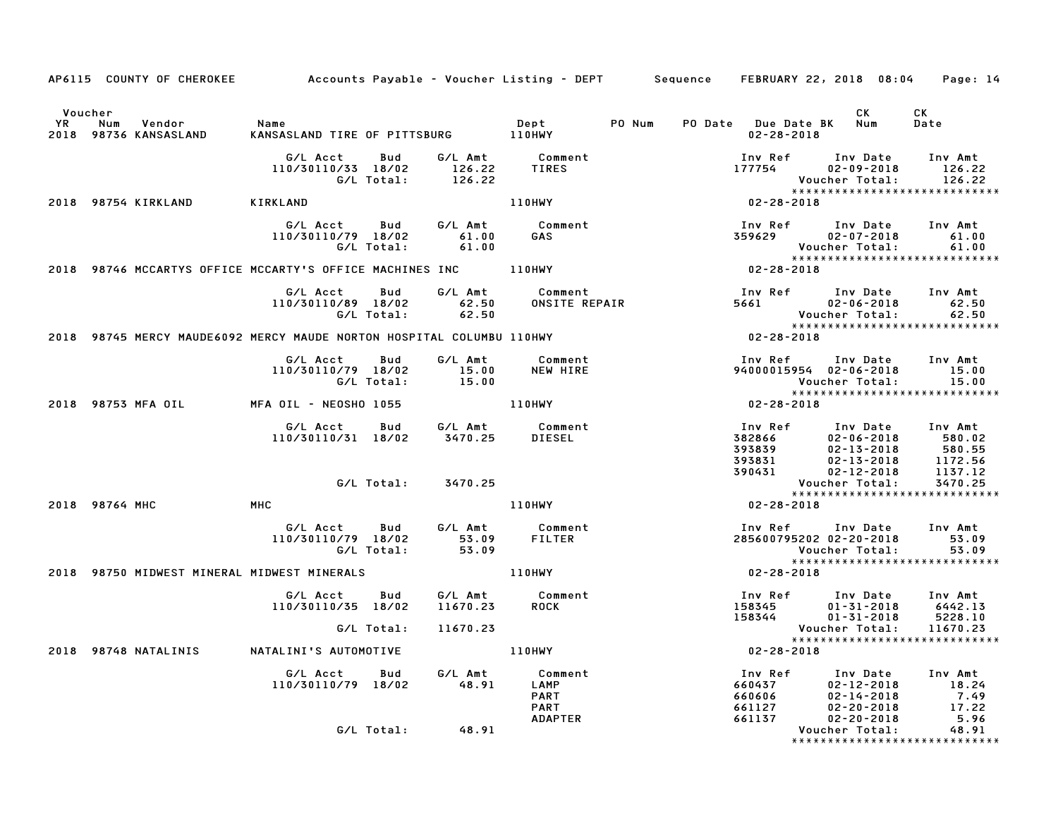|                      | AP6115 COUNTY OF CHEROKEE Accounts Payable – Voucher Listing – DEPT Sequence FEBRUARY 22, 2018 08:04 |                                                                                           |                      |                                                                                              |                                                                                                                                                                      |                                                                                                                                                                                                                                                                          |                       | Page: 14                                                                                     |
|----------------------|------------------------------------------------------------------------------------------------------|-------------------------------------------------------------------------------------------|----------------------|----------------------------------------------------------------------------------------------|----------------------------------------------------------------------------------------------------------------------------------------------------------------------|--------------------------------------------------------------------------------------------------------------------------------------------------------------------------------------------------------------------------------------------------------------------------|-----------------------|----------------------------------------------------------------------------------------------|
| Voucher<br><b>YR</b> | Vendor<br>Num<br>2018 98736 KANSASLAND KANSASLAND TIRE OF PITTSBURG 110HWY                           | Name                                                                                      |                      | Dept PO Num PO Date Due Date BK Num                                                          |                                                                                                                                                                      | 02-28-2018                                                                                                                                                                                                                                                               | CK                    | CK<br>Date                                                                                   |
|                      |                                                                                                      |                                                                                           |                      | G/L Acct  Bud  G/L Amt  Comment<br>110/30110/33  18/02  126.22  TIRES<br>G/L Total:  126.22  |                                                                                                                                                                      | Inv Ref       Inv Date     Inv Amt<br>177754          02-09-2018        126.22                                                                                                                                                                                           | Voucher Total: 126.22 | *****************************                                                                |
|                      | 2018 98754 KIRKLAND                                                                                  | <b>KIRKLAND</b>                                                                           |                      | <b>110HWY</b>                                                                                |                                                                                                                                                                      | $02 - 28 - 2018$                                                                                                                                                                                                                                                         |                       |                                                                                              |
|                      |                                                                                                      | G/L Acct Bud<br>110/30110/79 18/02 61.00<br>G/L Total: 61.00                              |                      | G/L Amt Comment<br>61.00 GAS                                                                 |                                                                                                                                                                      | Inv Ref       Inv Date     Inv Amt<br>359629           02-07-2018           61.00                                                                                                                                                                                        | Voucher Total:        | 61.00<br>01.00 Voucher Total:           61.00<br>*****************************<br>02-28-2018 |
|                      |                                                                                                      |                                                                                           |                      |                                                                                              |                                                                                                                                                                      |                                                                                                                                                                                                                                                                          |                       |                                                                                              |
|                      |                                                                                                      | G/L Acct Bud G/L Amt Comment<br>110/30110/89 18/02 62.50 ONSITE REPAI<br>G/L Total: 62.50 |                      |                                                                                              | Comment<br>ONSITE REPAIR COST EXECUTE 102-06-2018<br>COLORET 102-06-2018<br>COLORET 102-06-2018                                                                      |                                                                                                                                                                                                                                                                          |                       |                                                                                              |
|                      | 2018 98745 MERCY MAUDE6092 MERCY MAUDE NORTON HOSPITAL COLUMBU 110HWY                                |                                                                                           |                      |                                                                                              |                                                                                                                                                                      |                                                                                                                                                                                                                                                                          |                       |                                                                                              |
|                      |                                                                                                      |                                                                                           |                      | G/L Acct  Bud  G/L Amt  Comment<br>110/30110/79  18/02  15.00  NEW HIRE<br>G/L Total:  15.00 |                                                                                                                                                                      |                                                                                                                                                                                                                                                                          |                       |                                                                                              |
|                      | 2018 98753 MFA OIL MFA OIL - NEOSHO 1055 110HWY                                                      |                                                                                           |                      |                                                                                              |                                                                                                                                                                      | $02 - 28 - 2018$                                                                                                                                                                                                                                                         |                       |                                                                                              |
|                      |                                                                                                      | G/L Acct  Bud  G/L Amt  Comment<br>110/30110/31 18/02  3470.25  DIESEL                    |                      |                                                                                              | 1nv Ref 1nv Date 1nv Amt<br>382866 02-06-2018 580.02<br>393839 02-13-2018 580.55<br>393831 02-13-2018 1172.56<br>390431 02-12-2018 1137.12<br>Voucher Total: 3470.25 |                                                                                                                                                                                                                                                                          |                       |                                                                                              |
|                      |                                                                                                      |                                                                                           | G/L Total: 3470.25   |                                                                                              |                                                                                                                                                                      |                                                                                                                                                                                                                                                                          |                       | *****************************                                                                |
|                      | <b>Example 19 MHC</b><br>2018 98764 MHC                                                              |                                                                                           |                      | 110HWY                                                                                       |                                                                                                                                                                      | $02 - 28 - 2018$                                                                                                                                                                                                                                                         |                       |                                                                                              |
|                      |                                                                                                      |                                                                                           |                      | G/L Acct  Bud  G/L Amt  Comment<br>110/30110/79 18/02  53.09  FILTER<br>G/L Total:  53.09    |                                                                                                                                                                      | Inv Ref Inv Date Inv Amt<br>285600795202 02-20-2018 53.09<br>Voucher Total: 53.09                                                                                                                                                                                        |                       |                                                                                              |
|                      | 2018 98750 MIDWEST MINERAL MIDWEST MINERALS 110HWY                                                   |                                                                                           |                      |                                                                                              |                                                                                                                                                                      | $02 - 28 - 2018$                                                                                                                                                                                                                                                         |                       |                                                                                              |
|                      |                                                                                                      | G/L Acct Bud<br>110/30110/35 18/02                                                        |                      | G/L Amt Comment<br>11670.23 ROCK<br><b>ROCK</b>                                              |                                                                                                                                                                      |                                                                                                                                                                                                                                                                          |                       |                                                                                              |
|                      |                                                                                                      | G/L Total:                                                                                | 11670.23             |                                                                                              |                                                                                                                                                                      |                                                                                                                                                                                                                                                                          |                       | *****************************                                                                |
|                      | 2018 98748 NATALINIS                                                                                 | NATALINI'S AUTOMOTIVE                                                                     | <b>110HWY</b>        |                                                                                              |                                                                                                                                                                      | $02 - 28 - 2018$                                                                                                                                                                                                                                                         |                       |                                                                                              |
|                      |                                                                                                      | G/L Acct Bud G/L Amt Comment<br>110/30110/79 18/02 48.91 LAMP                             |                      | <b>PART</b><br><b>PART</b><br><b>ADAPTER</b>                                                 |                                                                                                                                                                      | 100 Ref 100 Date 100 Amt<br>18.24<br>18.24<br>18.24<br>18.24<br>17.49<br>17.22<br>17.22<br>17.22<br>17.22<br>17.22<br>17.22<br>18.91<br>202-20-2018<br>202-20-2018<br>202-20-2018<br>202-20-2018<br>202-20-2018<br>202-20-2018<br>202-20-2018<br>202-20-2018<br>202-20-2 |                       |                                                                                              |
|                      |                                                                                                      |                                                                                           | $G/L$ Total: $48.91$ |                                                                                              |                                                                                                                                                                      |                                                                                                                                                                                                                                                                          |                       |                                                                                              |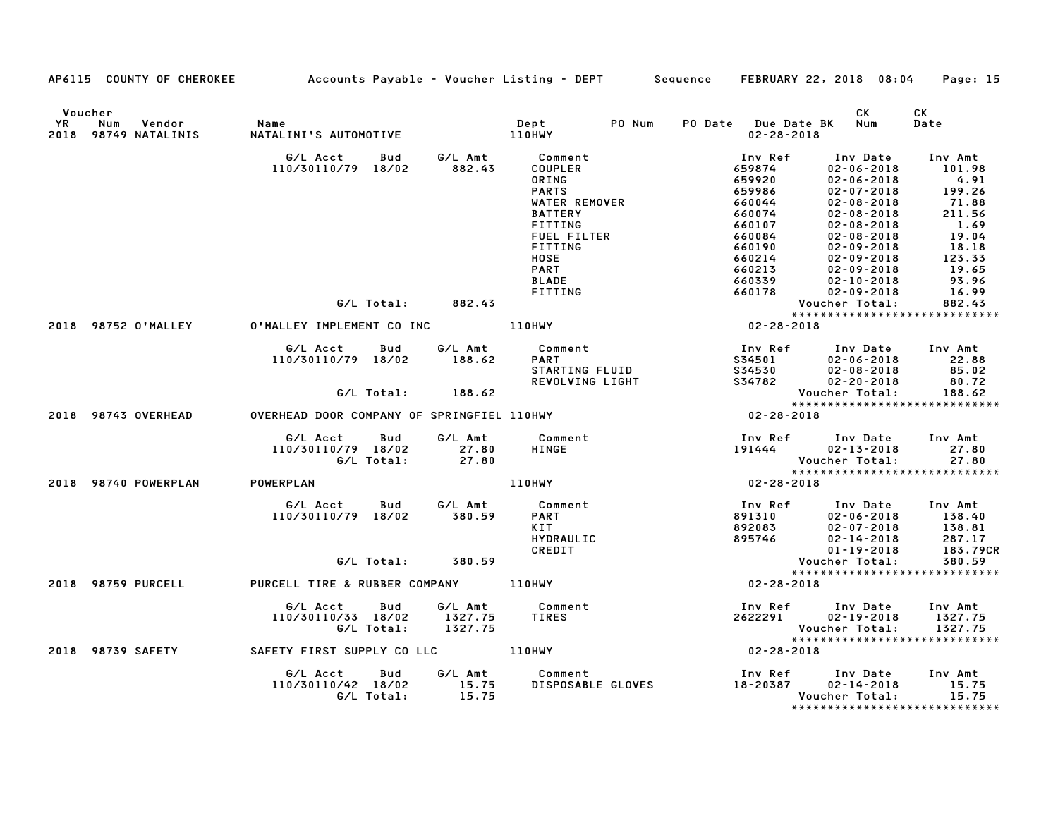|         | AP6115 COUNTY OF CHEROKEE Accounts Payable - Voucher Listing - DEPT Sequence FEBRUARY 22, 2018 08:04 |                                                  |                   |                                                                                                                                                                              |                                                                                                                                                                                                                                                                                          |                                             |                                                                                                                                                                                                                                                                                                 | Page: 15          |
|---------|------------------------------------------------------------------------------------------------------|--------------------------------------------------|-------------------|------------------------------------------------------------------------------------------------------------------------------------------------------------------------------|------------------------------------------------------------------------------------------------------------------------------------------------------------------------------------------------------------------------------------------------------------------------------------------|---------------------------------------------|-------------------------------------------------------------------------------------------------------------------------------------------------------------------------------------------------------------------------------------------------------------------------------------------------|-------------------|
| Voucher | YR Num Vendor – Name<br>2018 98749 NATALINIS – NATALINI'S AUTOMOTIV                                  |                                                  |                   |                                                                                                                                                                              |                                                                                                                                                                                                                                                                                          | PO Date Due Date BK Num<br>$02 - 28 - 2018$ | CK                                                                                                                                                                                                                                                                                              | CK<br>Date        |
|         |                                                                                                      |                                                  |                   |                                                                                                                                                                              | PARTS<br>PARTS<br>PARTS<br>WATER REMOVER<br>TITING<br>"EL FILTER 660064<br>"TING 660084<br>"TING 660084<br>"TING 660190<br>660214<br>660214<br>660213<br>660239<br>660213<br>660339<br>9<br>02-28-2018<br>Inv Ref<br>P<br>TING<br>TING<br>P<br>TING<br>P<br>P<br>TING<br>P<br>P<br>P<br> |                                             | Inv Date<br>$02 - 06 - 2018$                                                                                                                                                                                                                                                                    | Inv Amt<br>101.98 |
|         |                                                                                                      |                                                  |                   |                                                                                                                                                                              |                                                                                                                                                                                                                                                                                          |                                             |                                                                                                                                                                                                                                                                                                 |                   |
|         |                                                                                                      |                                                  |                   |                                                                                                                                                                              |                                                                                                                                                                                                                                                                                          |                                             |                                                                                                                                                                                                                                                                                                 |                   |
|         |                                                                                                      |                                                  |                   |                                                                                                                                                                              |                                                                                                                                                                                                                                                                                          |                                             |                                                                                                                                                                                                                                                                                                 |                   |
|         |                                                                                                      |                                                  |                   |                                                                                                                                                                              |                                                                                                                                                                                                                                                                                          |                                             |                                                                                                                                                                                                                                                                                                 |                   |
|         |                                                                                                      |                                                  |                   |                                                                                                                                                                              |                                                                                                                                                                                                                                                                                          |                                             |                                                                                                                                                                                                                                                                                                 |                   |
|         |                                                                                                      |                                                  |                   |                                                                                                                                                                              |                                                                                                                                                                                                                                                                                          |                                             |                                                                                                                                                                                                                                                                                                 |                   |
|         |                                                                                                      |                                                  |                   |                                                                                                                                                                              |                                                                                                                                                                                                                                                                                          |                                             |                                                                                                                                                                                                                                                                                                 |                   |
|         |                                                                                                      |                                                  |                   |                                                                                                                                                                              |                                                                                                                                                                                                                                                                                          |                                             |                                                                                                                                                                                                                                                                                                 |                   |
|         |                                                                                                      |                                                  |                   |                                                                                                                                                                              |                                                                                                                                                                                                                                                                                          |                                             | $\begin{array}{cccc} 02-06-2018 & 101.96 \\ 02-07-2018 & 4.91 \\ 02-07-2018 & 199.26 \\ 02-08-2018 & 71.88 \\ 02-08-2018 & 1.569 \\ 02-08-2018 & 1.69 \\ 02-09-2018 & 18.18 \\ 02-09-2018 & 123.33 \\ 02-09-2018 & 19.656 \\ 02-10-2018 & 93.96 \\ 02-10-2018 & 93.96 \\ 0$                     |                   |
|         |                                                                                                      |                                                  |                   |                                                                                                                                                                              |                                                                                                                                                                                                                                                                                          |                                             |                                                                                                                                                                                                                                                                                                 | 16.99             |
|         |                                                                                                      |                                                  | G/L Total: 882.43 |                                                                                                                                                                              |                                                                                                                                                                                                                                                                                          |                                             |                                                                                                                                                                                                                                                                                                 | 882.43            |
|         |                                                                                                      |                                                  |                   |                                                                                                                                                                              |                                                                                                                                                                                                                                                                                          |                                             | *****************************                                                                                                                                                                                                                                                                   |                   |
|         | 2018 98752 O'MALLEY O'MALLEY IMPLEMENT CO INC 110HWY                                                 |                                                  |                   |                                                                                                                                                                              |                                                                                                                                                                                                                                                                                          |                                             | $\begin{array}{cccc} 720 & 110 & 100 \\ 659986 & 02 \\ 660074 & 02 \\ 660074 & 02 - 1 \\ 660107 & 02 - 02 \\ 660084 & 02 - 09 - 2 \\ 660190 & 02 - 09 - 2 \\ 660214 & 02 - 09 - 201 \\ 660233 & 02 - 10 - 2018 \\ 660178 & 02 - 09 - 2018 \\ 660178 & 02 - 09 - 2018 \\ 72 - 28 - 2018 & 8 \\ $ |                   |
|         |                                                                                                      | G/L Acct Bud                                     |                   | G/L Amt Comment                                                                                                                                                              |                                                                                                                                                                                                                                                                                          |                                             |                                                                                                                                                                                                                                                                                                 |                   |
|         |                                                                                                      | 110/30110/79 18/02 188.62                        |                   |                                                                                                                                                                              |                                                                                                                                                                                                                                                                                          |                                             |                                                                                                                                                                                                                                                                                                 |                   |
|         |                                                                                                      |                                                  |                   |                                                                                                                                                                              |                                                                                                                                                                                                                                                                                          |                                             |                                                                                                                                                                                                                                                                                                 |                   |
|         |                                                                                                      |                                                  |                   |                                                                                                                                                                              |                                                                                                                                                                                                                                                                                          |                                             |                                                                                                                                                                                                                                                                                                 |                   |
|         |                                                                                                      |                                                  | G/L Total: 188.62 |                                                                                                                                                                              |                                                                                                                                                                                                                                                                                          |                                             | Voucher Total:                                                                                                                                                                                                                                                                                  | 188.62            |
|         | 2018 98743 OVERHEAD OVERHEAD DOOR COMPANY OF SPRINGFIEL 110HWY THE CONTROLLER SERVICE                |                                                  |                   |                                                                                                                                                                              |                                                                                                                                                                                                                                                                                          |                                             | *****************************                                                                                                                                                                                                                                                                   |                   |
|         |                                                                                                      | G/L Acct Bud                                     |                   | G/L Amt Comment                                                                                                                                                              |                                                                                                                                                                                                                                                                                          |                                             |                                                                                                                                                                                                                                                                                                 |                   |
|         |                                                                                                      |                                                  |                   |                                                                                                                                                                              |                                                                                                                                                                                                                                                                                          |                                             |                                                                                                                                                                                                                                                                                                 |                   |
|         |                                                                                                      |                                                  |                   |                                                                                                                                                                              |                                                                                                                                                                                                                                                                                          |                                             |                                                                                                                                                                                                                                                                                                 |                   |
|         |                                                                                                      |                                                  |                   |                                                                                                                                                                              |                                                                                                                                                                                                                                                                                          |                                             |                                                                                                                                                                                                                                                                                                 |                   |
|         | 2018 98740 POWERPLAN POWERPLAN                                                                       |                                                  |                   | 27.80<br>27.80<br>110HWY<br>27.80<br>28-28-2018<br>27.80<br>28-28-2018                                                                                                       |                                                                                                                                                                                                                                                                                          |                                             |                                                                                                                                                                                                                                                                                                 |                   |
|         |                                                                                                      |                                                  |                   | G/L Acct Bud G/L Amt Comment                                                                                                                                                 |                                                                                                                                                                                                                                                                                          |                                             |                                                                                                                                                                                                                                                                                                 |                   |
|         |                                                                                                      | 110/30110/79 18/02 380.59                        |                   | <b>PART</b>                                                                                                                                                                  |                                                                                                                                                                                                                                                                                          |                                             |                                                                                                                                                                                                                                                                                                 |                   |
|         |                                                                                                      |                                                  |                   | KIT                                                                                                                                                                          |                                                                                                                                                                                                                                                                                          |                                             |                                                                                                                                                                                                                                                                                                 |                   |
|         |                                                                                                      |                                                  |                   | HYDRAULIC                                                                                                                                                                    |                                                                                                                                                                                                                                                                                          |                                             |                                                                                                                                                                                                                                                                                                 |                   |
|         |                                                                                                      |                                                  |                   | CREDIT                                                                                                                                                                       |                                                                                                                                                                                                                                                                                          |                                             |                                                                                                                                                                                                                                                                                                 |                   |
|         |                                                                                                      |                                                  |                   |                                                                                                                                                                              |                                                                                                                                                                                                                                                                                          |                                             |                                                                                                                                                                                                                                                                                                 |                   |
|         | 2018 98759 PURCELL PURCELL TIRE & RUBBER COMPANY 110HWY                                              |                                                  |                   |                                                                                                                                                                              | Notellary 2013<br>Specific 102-06-2018<br>Specific 138.40<br>Specific 138.81<br>Specific 138.81<br>Specific 12-14-2018<br>Specific 183.79CR<br>Voucher Total: 380.59<br>Specifical: 380.59<br>Specifical: 380.59<br>Specifical: 380.59<br>Specifical                                     |                                             |                                                                                                                                                                                                                                                                                                 |                   |
|         |                                                                                                      |                                                  |                   |                                                                                                                                                                              |                                                                                                                                                                                                                                                                                          |                                             |                                                                                                                                                                                                                                                                                                 |                   |
|         |                                                                                                      |                                                  |                   | 6/L Acct Bud G/L Amt Comment<br>110/30110/33 18/02 1327.75 TIRES 2622291 02-19-2018 1327.75<br>2622291 02-19-2018 1327.75                                                    |                                                                                                                                                                                                                                                                                          |                                             |                                                                                                                                                                                                                                                                                                 |                   |
|         |                                                                                                      | 110/30110/33 18/02 1327.75<br>G/L Total: 1327.75 |                   |                                                                                                                                                                              |                                                                                                                                                                                                                                                                                          |                                             |                                                                                                                                                                                                                                                                                                 |                   |
|         |                                                                                                      |                                                  |                   |                                                                                                                                                                              |                                                                                                                                                                                                                                                                                          |                                             |                                                                                                                                                                                                                                                                                                 |                   |
|         | 2018 98739 SAFETY SAFETY FIRST SUPPLY CO LLC 110HWY                                                  |                                                  |                   |                                                                                                                                                                              |                                                                                                                                                                                                                                                                                          |                                             |                                                                                                                                                                                                                                                                                                 |                   |
|         |                                                                                                      |                                                  |                   |                                                                                                                                                                              |                                                                                                                                                                                                                                                                                          |                                             |                                                                                                                                                                                                                                                                                                 |                   |
|         |                                                                                                      |                                                  |                   | G/L Acct Bud G/L Amt Comment Inv Ref Inv Date Inv Amt<br>110/30110/42 18/02 15.75 DISPOSABLE GLOVES 18-20387 02-14-2018 15.75<br>G/L Total: 15.75 15.75 Voucher Total: 15.75 |                                                                                                                                                                                                                                                                                          |                                             |                                                                                                                                                                                                                                                                                                 |                   |
|         |                                                                                                      |                                                  |                   |                                                                                                                                                                              |                                                                                                                                                                                                                                                                                          |                                             |                                                                                                                                                                                                                                                                                                 |                   |
|         |                                                                                                      |                                                  |                   |                                                                                                                                                                              |                                                                                                                                                                                                                                                                                          |                                             |                                                                                                                                                                                                                                                                                                 |                   |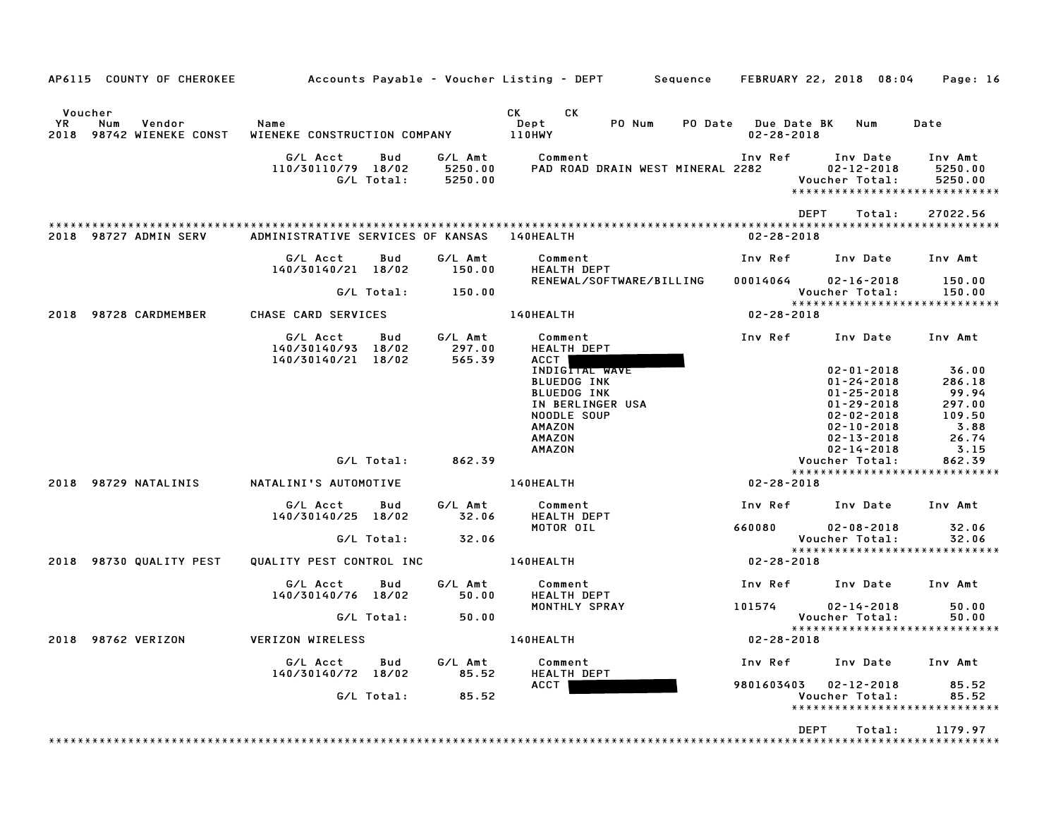| AP6115 COUNTY OF CHEROKEE                                      |                                                             |                               | Accounts Payable – Voucher Listing – DEPT         Sequence     FEBRUARY 22, 2018  08:04                                                                                                                                                                           |                                         |                                                                                 | Page: 16                          |
|----------------------------------------------------------------|-------------------------------------------------------------|-------------------------------|-------------------------------------------------------------------------------------------------------------------------------------------------------------------------------------------------------------------------------------------------------------------|-----------------------------------------|---------------------------------------------------------------------------------|-----------------------------------|
| Voucher<br>YR.<br>Vendor<br>Num<br>98742 WIENEKE CONST<br>2018 | Name<br>WIENEKE CONSTRUCTION COMPANY                        |                               | CK the control of the control of the control of the control of the control of the control of the control of the control of the control of the control of the control of the control of the control of the control of the contr<br>CK.<br>PO Num<br>Dept<br>110HWY | PO Date Due Date BK<br>$02 - 28 - 2018$ | Num                                                                             | Date                              |
|                                                                | G/L Acct<br>Bud<br>110/30110/79 18/02<br>G/L Total:         | G/L Amt<br>5250.00<br>5250.00 | Comment<br>PAD ROAD DRAIN WEST MINERAL 2282                                                                                                                                                                                                                       | Inv Ref                                 | Inv Date<br>$02 - 12 - 2018$<br>Voucher Total:<br>***************************** | Inv Amt<br>5250.00<br>5250.00     |
|                                                                |                                                             |                               |                                                                                                                                                                                                                                                                   |                                         | <b>DEPT</b><br>Total:                                                           | 27022.56                          |
| 2018 98727 ADMIN SERV                                          | ADMINISTRATIVE SERVICES OF KANSAS                           |                               | <b>140HEALTH</b>                                                                                                                                                                                                                                                  | $02 - 28 - 2018$                        |                                                                                 |                                   |
|                                                                | G/L Acct<br>Bud<br>140/30140/21 18/02                       | G/L Amt<br>150.00             | Comment<br>HEALTH DEPT                                                                                                                                                                                                                                            |                                         | Inv Ref Inv Date                                                                | Inv Amt                           |
|                                                                | G/L Total:                                                  | 150.00                        | RENEWAL/SOFTWARE/BILLING                                                                                                                                                                                                                                          |                                         | 00014064 02-16-2018<br>Voucher Total:                                           | 150.00<br>150.00                  |
| 2018 98728 CARDMEMBER                                          | CHASE CARD SERVICES                                         |                               | 140HEALTH                                                                                                                                                                                                                                                         | $02 - 28 - 2018$                        | *****************************                                                   |                                   |
|                                                                |                                                             |                               |                                                                                                                                                                                                                                                                   |                                         |                                                                                 |                                   |
|                                                                | G/L Acct<br>Bud<br>140/30140/93 18/02<br>140/30140/21 18/02 | G/L Amt<br>297.00<br>565.39   | Comment<br>HEALTH DEPT<br>ACCT                                                                                                                                                                                                                                    | Inv Ref                                 | Inv Date                                                                        | Inv Amt                           |
|                                                                |                                                             |                               | INDIGITAL WAVE<br><b>BLUEDOG INK</b>                                                                                                                                                                                                                              |                                         | $02 - 01 - 2018$<br>$01 - 24 - 2018$                                            | 36.00<br>286.18                   |
|                                                                |                                                             |                               | <b>BLUEDOG INK</b><br>IN BERLINGER USA<br>NOODLE SOUP<br><b>AMAZON</b>                                                                                                                                                                                            |                                         | $01 - 25 - 2018$<br>$01 - 29 - 2018$<br>$02 - 02 - 2018$<br>$02 - 10 - 2018$    | 99.94<br>297.00<br>109.50<br>3.88 |
|                                                                |                                                             |                               | <b>AMAZON</b><br><b>AMAZON</b>                                                                                                                                                                                                                                    |                                         | $02 - 13 - 2018$<br>$02 - 14 - 2018$                                            | 26.74<br>3.15                     |
|                                                                | G/L Total:                                                  | 862.39                        |                                                                                                                                                                                                                                                                   |                                         | Voucher Total:<br>*****************************                                 | 862.39                            |
| 2018 98729 NATALINIS                                           | NATALINI'S AUTOMOTIVE                                       |                               | <b>140HEALTH</b>                                                                                                                                                                                                                                                  | 02-28-2018                              |                                                                                 |                                   |
|                                                                | G/L Acct<br>Bud<br>140/30140/25 18/02                       | G/L Amt<br>32.06              | Comment<br>HEALTH DEPT                                                                                                                                                                                                                                            |                                         | Inv Ref Inv Date                                                                | Inv Amt                           |
|                                                                | G/L Total:                                                  | 32.06                         | MOTOR OIL                                                                                                                                                                                                                                                         | 660080                                  | $02 - 08 - 2018$<br>Voucher Total:                                              | 32.06<br>32.06                    |
| 2018 98730 QUALITY PEST                                        | QUALITY PEST CONTROL INC                                    |                               | <b>140HEALTH</b>                                                                                                                                                                                                                                                  | 02-28-2018                              | ******************                                                              |                                   |
|                                                                | G/L Acct<br>Bud<br>140/30140/76 18/02                       | G/L Amt<br>50.00              | Comment<br><b>HEALTH DEPT</b>                                                                                                                                                                                                                                     |                                         | Inv Ref Inv Date                                                                | Inv Amt                           |
|                                                                | G/L Total:                                                  | 50.00                         | MONTHLY SPRAY                                                                                                                                                                                                                                                     | 101574                                  | $02 - 14 - 2018$<br>Voucher Total:                                              | 50.00<br>50.00                    |
| 2018 98762 VERIZON                                             | VERIZON WIRELESS                                            |                               | 140HEALTH                                                                                                                                                                                                                                                         | $02 - 28 - 2018$                        | *****************************                                                   |                                   |
|                                                                | G/L Acct<br>Bud                                             | G/L Amt                       | Comment                                                                                                                                                                                                                                                           |                                         | Inv Ref Inv Date                                                                | Inv Amt                           |
|                                                                | 140/30140/72 18/02                                          | 85.52                         | HEALTH DEPT<br>ACCT                                                                                                                                                                                                                                               |                                         | 9801603403  02-12-2018                                                          | 85.52                             |
|                                                                | G/L Total:                                                  | 85.52                         |                                                                                                                                                                                                                                                                   |                                         | Voucher Total:<br>*****************************                                 | 85.52                             |
|                                                                |                                                             |                               |                                                                                                                                                                                                                                                                   | <b>DEPT</b>                             | Total:                                                                          | 1179.97                           |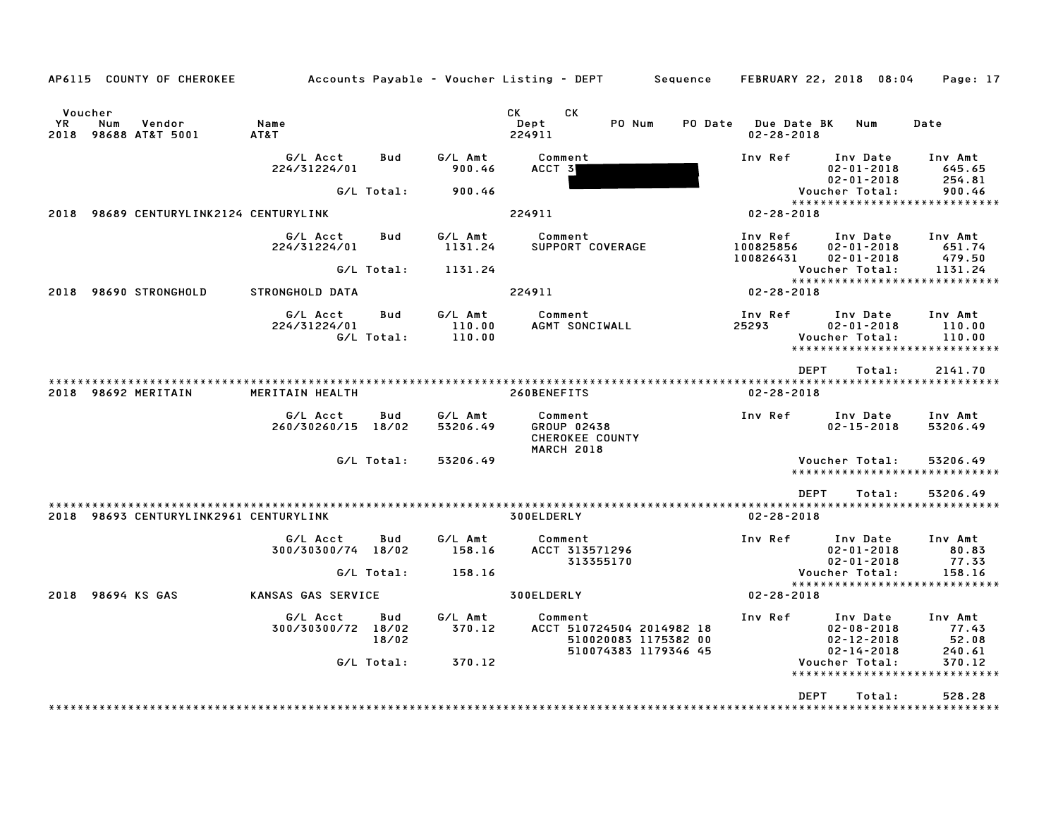| AP6115 COUNTY OF CHEROKEE                              | Accounts Payable – Voucher Listing – DEPT         Sequence     FEBRUARY 22, 2018  08:04 |                   |                             |                                                                                                                                                                                                                                                        |                                                                           |                                         |                                                                      |        | Page: 17                                                     |
|--------------------------------------------------------|-----------------------------------------------------------------------------------------|-------------------|-----------------------------|--------------------------------------------------------------------------------------------------------------------------------------------------------------------------------------------------------------------------------------------------------|---------------------------------------------------------------------------|-----------------------------------------|----------------------------------------------------------------------|--------|--------------------------------------------------------------|
| Voucher<br>YR<br>Num<br>Vendor<br>2018 98688 AT&T 5001 | Name<br>AT&T                                                                            |                   |                             | CK<br>CK and the set of the set of the set of the set of the set of the set of the set of the set of the set of the set of the set of the set of the set of the set of the set of the set of the set of the set of the set of the se<br>Dept<br>224911 | PO Num                                                                    | PO Date Due Date BK<br>$02 - 28 - 2018$ |                                                                      | Num    | Date                                                         |
|                                                        | G/L Acct<br>224/31224/01                                                                | Bud               | G/L Amt<br>900.46           | Comment<br>ACCT 3                                                                                                                                                                                                                                      |                                                                           | Inv Ref                                 | Inv Date<br>$02 - 01 - 2018$<br>$02 - 01 - 2018$                     |        | Inv Amt<br>645.65<br>254.81                                  |
|                                                        |                                                                                         | G/L Total:        | 900.46                      |                                                                                                                                                                                                                                                        |                                                                           |                                         | Voucher Total:                                                       |        | 900.46                                                       |
| 2018 98689 CENTURYLINK2124 CENTURYLINK                 |                                                                                         |                   |                             | 224911                                                                                                                                                                                                                                                 |                                                                           | 02-28-2018                              |                                                                      |        | *****************************                                |
|                                                        | G/L Acct<br>224/31224/01                                                                | Bud               | G/L Amt<br>1131.24          | Comment<br>SUPPORT COVERAGE                                                                                                                                                                                                                            |                                                                           | Inv Ref<br>100825856                    | Inv Date<br>$02 - 01 - 2018$                                         |        | Inv Amt<br>651.74                                            |
|                                                        |                                                                                         | G/L Total:        | 1131.24                     |                                                                                                                                                                                                                                                        |                                                                           | 100826431                               | $02 - 01 - 2018$<br>Voucher Total:                                   |        | 479.50<br>1131.24                                            |
| 2018 98690 STRONGHOLD                                  | STRONGHOLD DATA                                                                         |                   |                             | 224911                                                                                                                                                                                                                                                 |                                                                           | 02-28-2018                              |                                                                      |        | *****************************                                |
|                                                        | G/L Acct<br>224/31224/01                                                                | Bud<br>G/L Total: | G/L Amt<br>110.00<br>110.00 | Comment<br>AGMT SONCIWALL                                                                                                                                                                                                                              |                                                                           | Inv Ref<br>25293                        | Inv Date<br>$02 - 01 - 2018$<br>Voucher Total:                       |        | Inv Amt<br>110.00<br>110.00<br>***************************** |
|                                                        |                                                                                         |                   |                             |                                                                                                                                                                                                                                                        |                                                                           |                                         | <b>DEPT</b>                                                          | Total: | 2141.70                                                      |
| 2018 98692 MERITAIN                                    | MERITAIN HEALTH                                                                         |                   |                             | 260BENEFITS                                                                                                                                                                                                                                            |                                                                           | $02 - 28 - 2018$                        |                                                                      |        |                                                              |
|                                                        | G/L Acct<br>260/30260/15 18/02                                                          | Bud               | G/L Amt<br>53206.49         | Comment<br>GROUP 02438<br>CHEROKEE COUNTY<br><b>MARCH 2018</b>                                                                                                                                                                                         |                                                                           | Inv Ref                                 | Inv Date<br>$02 - 15 - 2018$                                         |        | Inv Amt<br>53206.49                                          |
|                                                        |                                                                                         | G/L Total:        | 53206.49                    |                                                                                                                                                                                                                                                        |                                                                           |                                         | Voucher Total:                                                       |        | 53206.49<br>*****************************                    |
|                                                        |                                                                                         |                   |                             |                                                                                                                                                                                                                                                        |                                                                           |                                         | <b>DEPT</b>                                                          | Total: | 53206.49                                                     |
| 2018 98693 CENTURYLINK2961 CENTURYLINK                 |                                                                                         |                   |                             | 300ELDERLY                                                                                                                                                                                                                                             |                                                                           | $02 - 28 - 2018$                        |                                                                      |        |                                                              |
|                                                        | G/L Acct<br>300/30300/74 18/02                                                          | Bud               | G/L Amt<br>158.16           | Comment<br>ACCT 313571296                                                                                                                                                                                                                              | 313355170                                                                 | Inv Ref                                 | Inv Date<br>$02 - 01 - 2018$<br>$02 - 01 - 2018$                     |        | Inv Amt<br>80.83<br>77.33                                    |
|                                                        |                                                                                         | G/L Total:        | 158.16                      |                                                                                                                                                                                                                                                        |                                                                           |                                         | Voucher Total:                                                       |        | 158.16                                                       |
| 2018 98694 KS GAS                                      | KANSAS GAS SERVICE                                                                      |                   |                             | 300ELDERLY                                                                                                                                                                                                                                             |                                                                           | $02 - 28 - 2018$                        |                                                                      |        | *****************************                                |
|                                                        | G/L Acct<br>300/30300/72 18/02                                                          | Bud<br>18/02      | G/L Amt<br>370.12           | Comment                                                                                                                                                                                                                                                | ACCT 510724504 2014982 18<br>510020083 1175382 00<br>510074383 1179346 45 | Inv Ref                                 | Inv Date<br>$02 - 08 - 2018$<br>$02 - 12 - 2018$<br>$02 - 14 - 2018$ |        | Inv Amt<br>77.43<br>52.08<br>240.61                          |
|                                                        |                                                                                         | G/L Total:        | 370.12                      |                                                                                                                                                                                                                                                        |                                                                           |                                         | Voucher Total:                                                       |        | 370.12                                                       |
|                                                        |                                                                                         |                   |                             |                                                                                                                                                                                                                                                        |                                                                           |                                         |                                                                      |        | *****************************                                |
|                                                        |                                                                                         |                   |                             |                                                                                                                                                                                                                                                        |                                                                           |                                         | <b>DEPT</b>                                                          | Total: | 528.28                                                       |